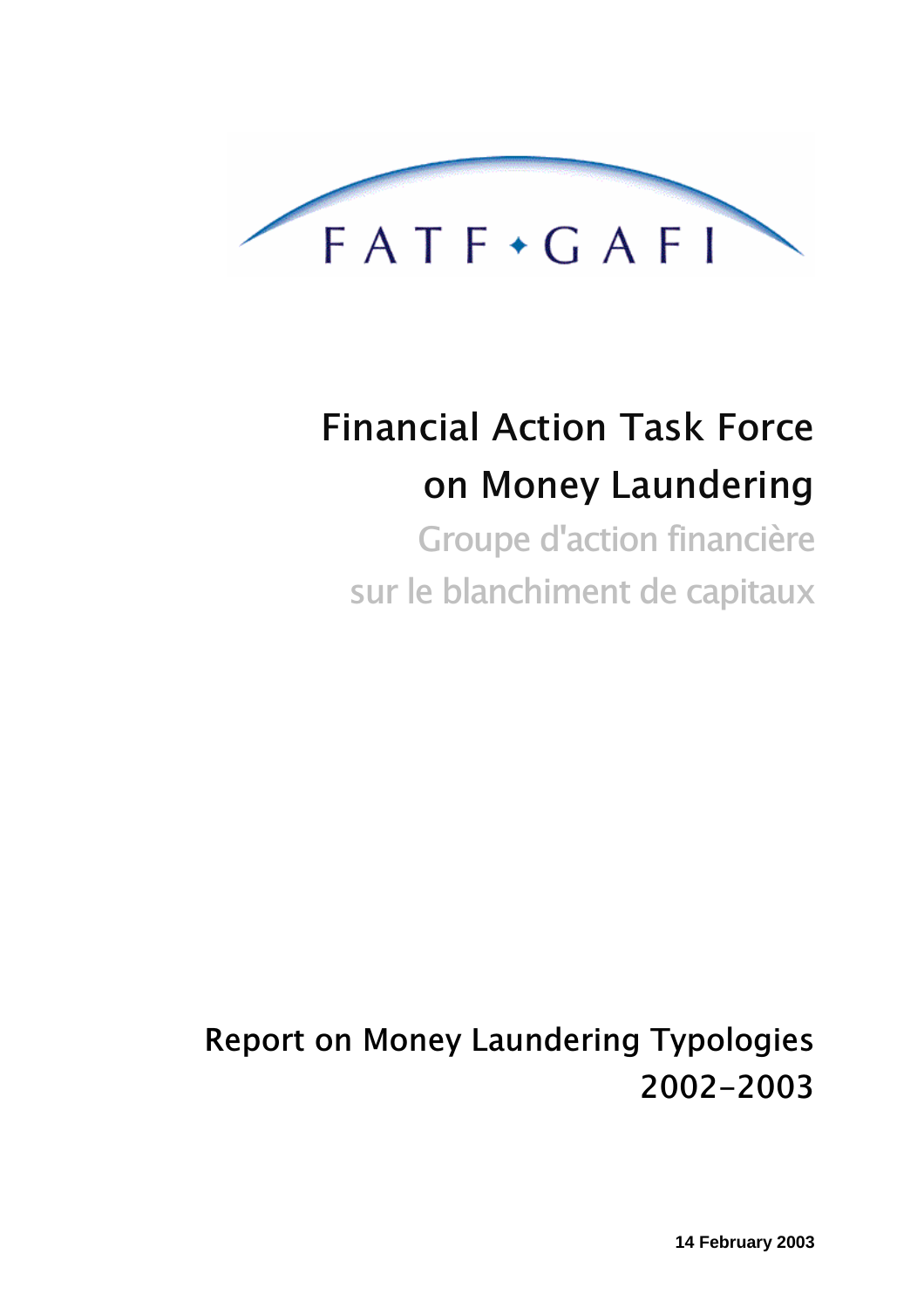

# **Financial Action Task Force** on Money Laundering

Groupe d'action financière sur le blanchiment de capitaux

**Report on Money Laundering Typologies** 2002-2003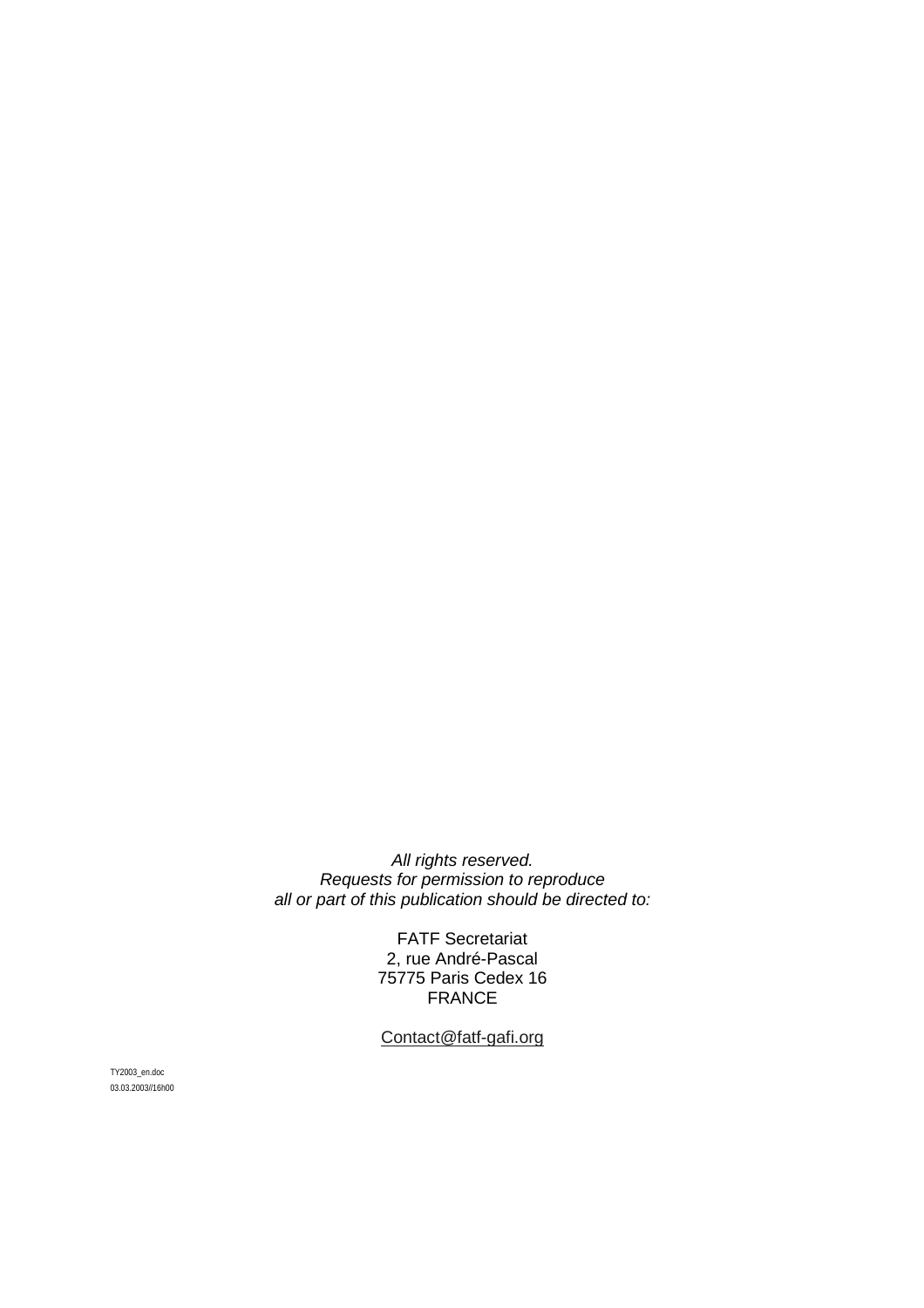All rights reserved. Requests for permission to reproduce all or part of this publication should be directed to:

> FATF Secretariat 2, rue André-Pascal 75775 Paris Cedex 16 FRANCE

Contact@fatf-gafi.org

TY2003\_en.doc 03.03.2003//16h00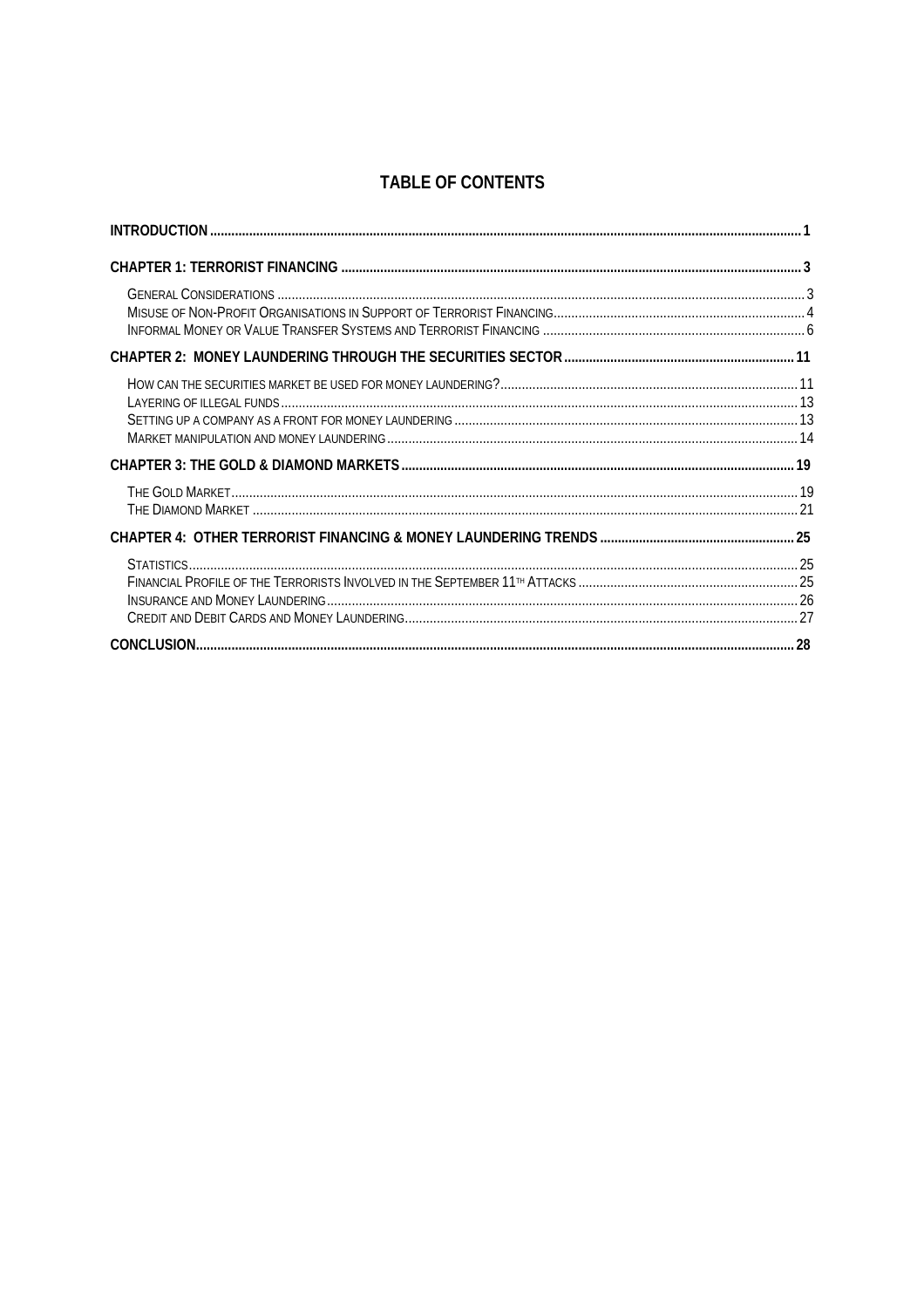# **TABLE OF CONTENTS**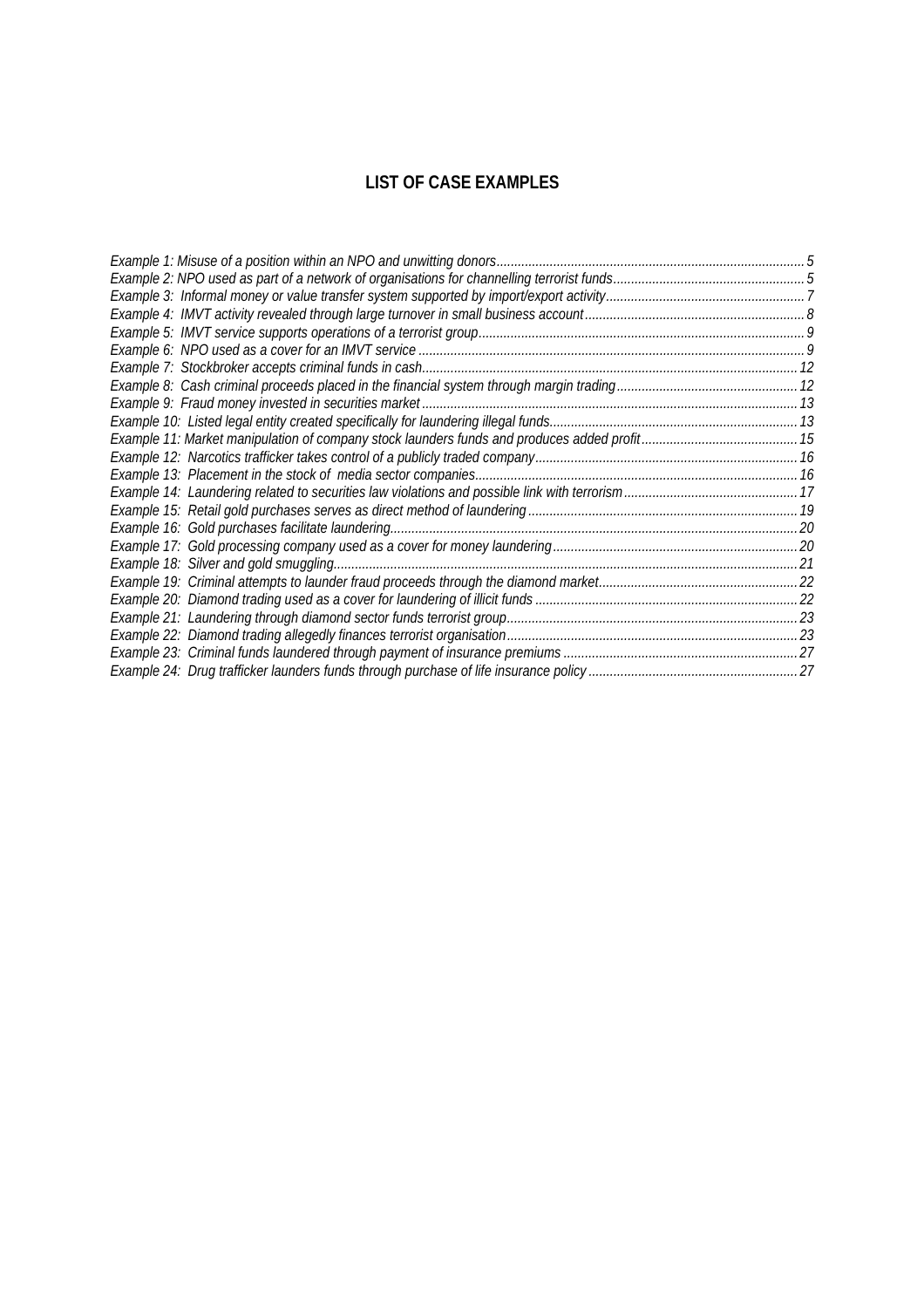# **LIST OF CASE EXAMPLES**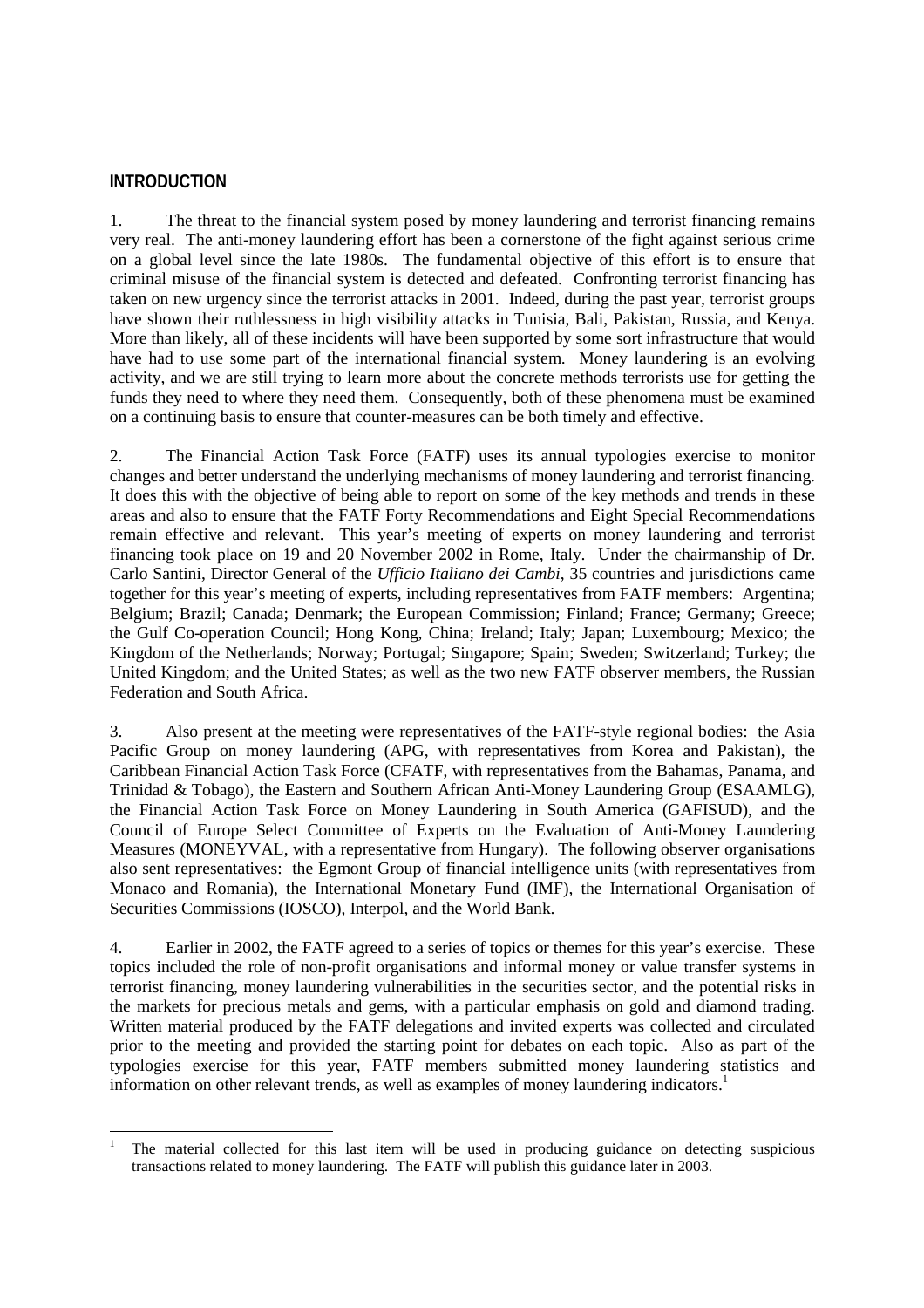#### **INTRODUCTION**

1. The threat to the financial system posed by money laundering and terrorist financing remains very real. The anti-money laundering effort has been a cornerstone of the fight against serious crime on a global level since the late 1980s. The fundamental objective of this effort is to ensure that criminal misuse of the financial system is detected and defeated. Confronting terrorist financing has taken on new urgency since the terrorist attacks in 2001. Indeed, during the past year, terrorist groups have shown their ruthlessness in high visibility attacks in Tunisia, Bali, Pakistan, Russia, and Kenya. More than likely, all of these incidents will have been supported by some sort infrastructure that would have had to use some part of the international financial system. Money laundering is an evolving activity, and we are still trying to learn more about the concrete methods terrorists use for getting the funds they need to where they need them. Consequently, both of these phenomena must be examined on a continuing basis to ensure that counter-measures can be both timely and effective.

2. The Financial Action Task Force (FATF) uses its annual typologies exercise to monitor changes and better understand the underlying mechanisms of money laundering and terrorist financing. It does this with the objective of being able to report on some of the key methods and trends in these areas and also to ensure that the FATF Forty Recommendations and Eight Special Recommendations remain effective and relevant. This year's meeting of experts on money laundering and terrorist financing took place on 19 and 20 November 2002 in Rome, Italy. Under the chairmanship of Dr. Carlo Santini, Director General of the *Ufficio Italiano dei Cambi*, 35 countries and jurisdictions came together for this year's meeting of experts, including representatives from FATF members: Argentina; Belgium; Brazil; Canada; Denmark; the European Commission; Finland; France; Germany; Greece; the Gulf Co-operation Council; Hong Kong, China; Ireland; Italy; Japan; Luxembourg; Mexico; the Kingdom of the Netherlands; Norway; Portugal; Singapore; Spain; Sweden; Switzerland; Turkey; the United Kingdom; and the United States; as well as the two new FATF observer members, the Russian Federation and South Africa.

3. Also present at the meeting were representatives of the FATF-style regional bodies: the Asia Pacific Group on money laundering (APG, with representatives from Korea and Pakistan), the Caribbean Financial Action Task Force (CFATF, with representatives from the Bahamas, Panama, and Trinidad & Tobago), the Eastern and Southern African Anti-Money Laundering Group (ESAAMLG), the Financial Action Task Force on Money Laundering in South America (GAFISUD), and the Council of Europe Select Committee of Experts on the Evaluation of Anti-Money Laundering Measures (MONEYVAL, with a representative from Hungary). The following observer organisations also sent representatives: the Egmont Group of financial intelligence units (with representatives from Monaco and Romania), the International Monetary Fund (IMF), the International Organisation of Securities Commissions (IOSCO), Interpol, and the World Bank.

4. Earlier in 2002, the FATF agreed to a series of topics or themes for this year's exercise. These topics included the role of non-profit organisations and informal money or value transfer systems in terrorist financing, money laundering vulnerabilities in the securities sector, and the potential risks in the markets for precious metals and gems, with a particular emphasis on gold and diamond trading. Written material produced by the FATF delegations and invited experts was collected and circulated prior to the meeting and provided the starting point for debates on each topic. Also as part of the typologies exercise for this year, FATF members submitted money laundering statistics and information on other relevant trends, as well as examples of money laundering indicators.<sup>1</sup>

 $\overline{a}$ 1 The material collected for this last item will be used in producing guidance on detecting suspicious transactions related to money laundering. The FATF will publish this guidance later in 2003.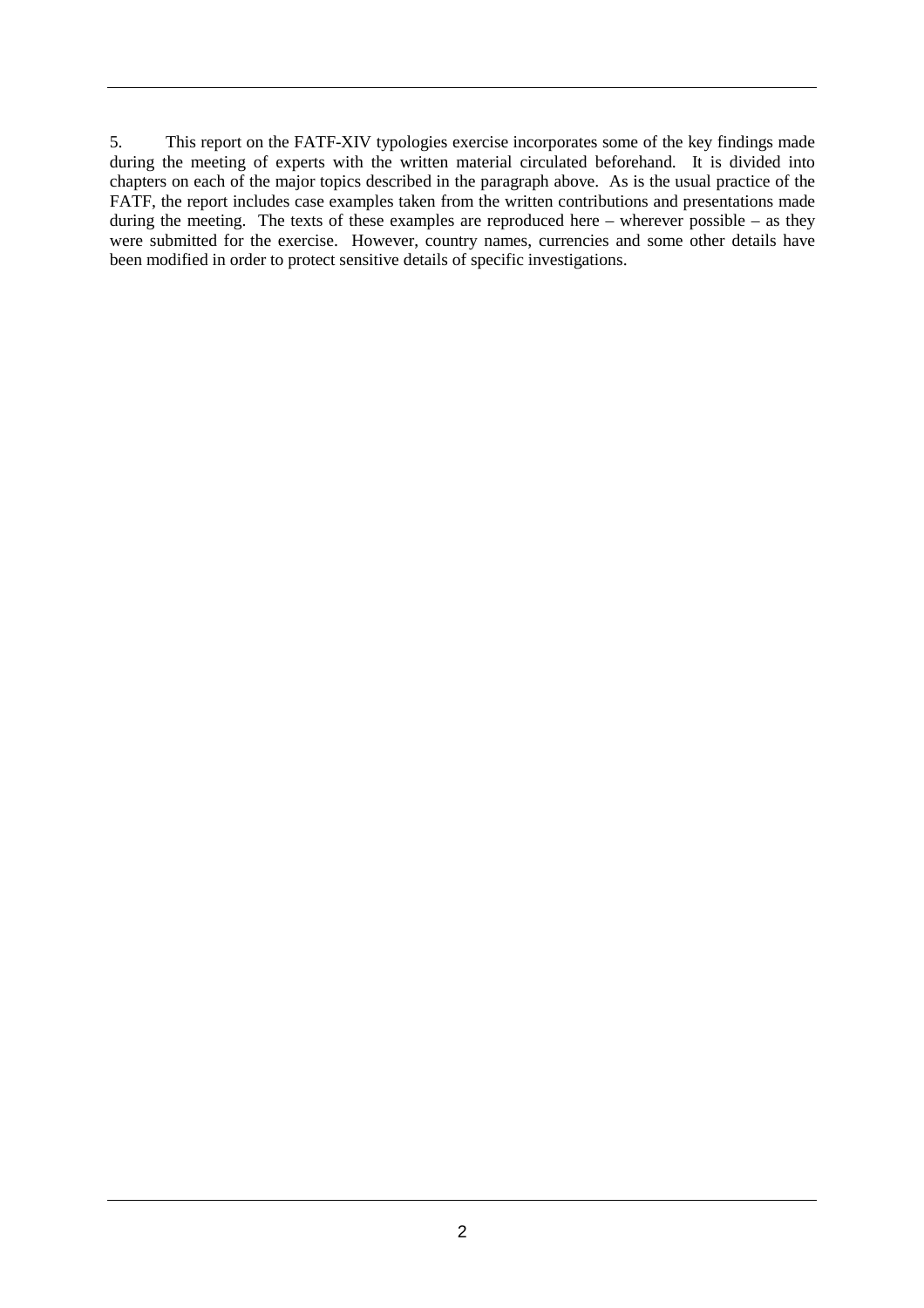5. This report on the FATF-XIV typologies exercise incorporates some of the key findings made during the meeting of experts with the written material circulated beforehand. It is divided into chapters on each of the major topics described in the paragraph above. As is the usual practice of the FATF, the report includes case examples taken from the written contributions and presentations made during the meeting. The texts of these examples are reproduced here – wherever possible – as they were submitted for the exercise. However, country names, currencies and some other details have been modified in order to protect sensitive details of specific investigations.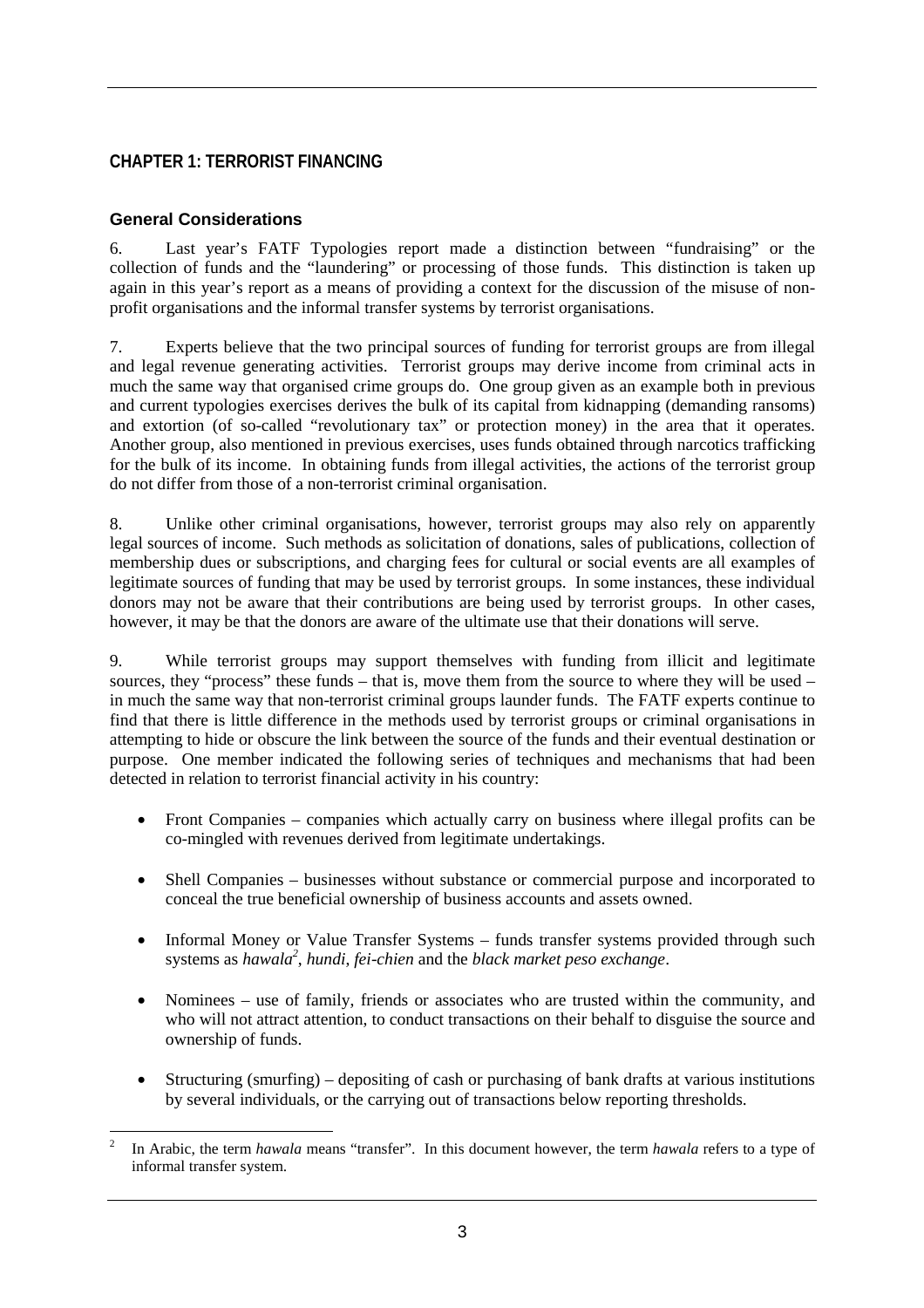# **CHAPTER 1: TERRORIST FINANCING**

#### **General Considerations**

6. Last year's FATF Typologies report made a distinction between "fundraising" or the collection of funds and the "laundering" or processing of those funds. This distinction is taken up again in this year's report as a means of providing a context for the discussion of the misuse of nonprofit organisations and the informal transfer systems by terrorist organisations.

7. Experts believe that the two principal sources of funding for terrorist groups are from illegal and legal revenue generating activities. Terrorist groups may derive income from criminal acts in much the same way that organised crime groups do. One group given as an example both in previous and current typologies exercises derives the bulk of its capital from kidnapping (demanding ransoms) and extortion (of so-called "revolutionary tax" or protection money) in the area that it operates. Another group, also mentioned in previous exercises, uses funds obtained through narcotics trafficking for the bulk of its income. In obtaining funds from illegal activities, the actions of the terrorist group do not differ from those of a non-terrorist criminal organisation.

8. Unlike other criminal organisations, however, terrorist groups may also rely on apparently legal sources of income. Such methods as solicitation of donations, sales of publications, collection of membership dues or subscriptions, and charging fees for cultural or social events are all examples of legitimate sources of funding that may be used by terrorist groups. In some instances, these individual donors may not be aware that their contributions are being used by terrorist groups. In other cases, however, it may be that the donors are aware of the ultimate use that their donations will serve.

9. While terrorist groups may support themselves with funding from illicit and legitimate sources, they "process" these funds – that is, move them from the source to where they will be used – in much the same way that non-terrorist criminal groups launder funds. The FATF experts continue to find that there is little difference in the methods used by terrorist groups or criminal organisations in attempting to hide or obscure the link between the source of the funds and their eventual destination or purpose. One member indicated the following series of techniques and mechanisms that had been detected in relation to terrorist financial activity in his country:

- Front Companies companies which actually carry on business where illegal profits can be co-mingled with revenues derived from legitimate undertakings.
- Shell Companies businesses without substance or commercial purpose and incorporated to conceal the true beneficial ownership of business accounts and assets owned.
- Informal Money or Value Transfer Systems funds transfer systems provided through such systems as *hawala<sup>2</sup>*, *hundi*, *fei-chien* and the *black market peso exchange*.
- Nominees use of family, friends or associates who are trusted within the community, and who will not attract attention, to conduct transactions on their behalf to disguise the source and ownership of funds.
- Structuring (smurfing) depositing of cash or purchasing of bank drafts at various institutions by several individuals, or the carrying out of transactions below reporting thresholds.

 $\overline{a}$ 2 In Arabic, the term *hawala* means "transfer". In this document however, the term *hawala* refers to a type of informal transfer system.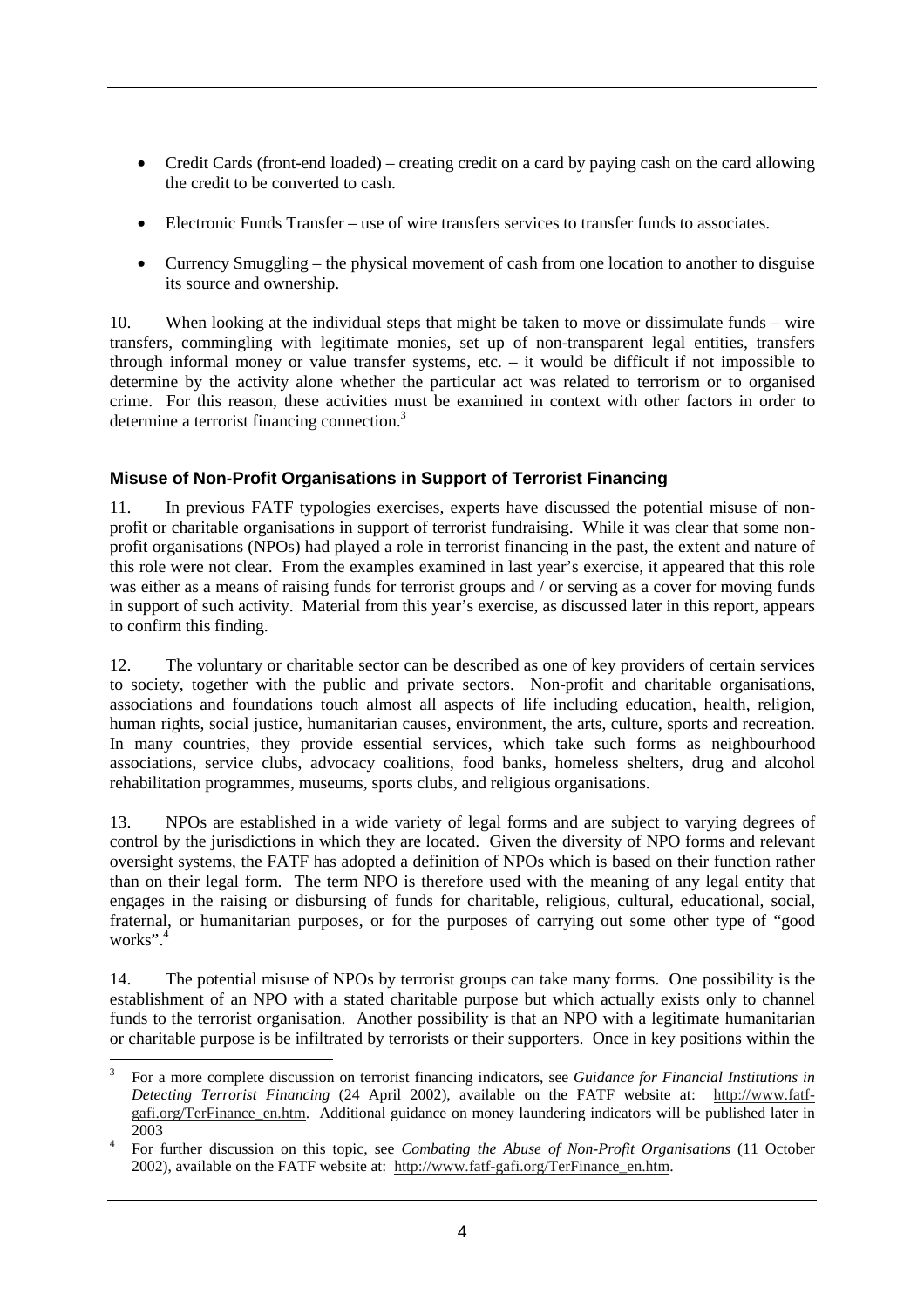- Credit Cards (front-end loaded) creating credit on a card by paying cash on the card allowing the credit to be converted to cash.
- Electronic Funds Transfer use of wire transfers services to transfer funds to associates.
- Currency Smuggling the physical movement of cash from one location to another to disguise its source and ownership.

10. When looking at the individual steps that might be taken to move or dissimulate funds – wire transfers, commingling with legitimate monies, set up of non-transparent legal entities, transfers through informal money or value transfer systems, etc.  $-$  it would be difficult if not impossible to determine by the activity alone whether the particular act was related to terrorism or to organised crime. For this reason, these activities must be examined in context with other factors in order to determine a terrorist financing connection.<sup>3</sup>

# **Misuse of Non-Profit Organisations in Support of Terrorist Financing**

11. In previous FATF typologies exercises, experts have discussed the potential misuse of nonprofit or charitable organisations in support of terrorist fundraising. While it was clear that some nonprofit organisations (NPOs) had played a role in terrorist financing in the past, the extent and nature of this role were not clear. From the examples examined in last year's exercise, it appeared that this role was either as a means of raising funds for terrorist groups and / or serving as a cover for moving funds in support of such activity. Material from this year's exercise, as discussed later in this report, appears to confirm this finding.

12. The voluntary or charitable sector can be described as one of key providers of certain services to society, together with the public and private sectors. Non-profit and charitable organisations, associations and foundations touch almost all aspects of life including education, health, religion, human rights, social justice, humanitarian causes, environment, the arts, culture, sports and recreation. In many countries, they provide essential services, which take such forms as neighbourhood associations, service clubs, advocacy coalitions, food banks, homeless shelters, drug and alcohol rehabilitation programmes, museums, sports clubs, and religious organisations.

13. NPOs are established in a wide variety of legal forms and are subject to varying degrees of control by the jurisdictions in which they are located. Given the diversity of NPO forms and relevant oversight systems, the FATF has adopted a definition of NPOs which is based on their function rather than on their legal form. The term NPO is therefore used with the meaning of any legal entity that engages in the raising or disbursing of funds for charitable, religious, cultural, educational, social, fraternal, or humanitarian purposes, or for the purposes of carrying out some other type of "good works". 4

14. The potential misuse of NPOs by terrorist groups can take many forms. One possibility is the establishment of an NPO with a stated charitable purpose but which actually exists only to channel funds to the terrorist organisation. Another possibility is that an NPO with a legitimate humanitarian or charitable purpose is be infiltrated by terrorists or their supporters. Once in key positions within the

 $\overline{a}$ 3 For a more complete discussion on terrorist financing indicators, see *Guidance for Financial Institutions in Detecting Terrorist Financing* (24 April 2002), available on the FATF website at: http://www.fatfgafi.org/TerFinance\_en.htm. Additional guidance on money laundering indicators will be published later in 2003 4

For further discussion on this topic, see *Combating the Abuse of Non-Profit Organisations* (11 October 2002), available on the FATF website at: http://www.fatf-gafi.org/TerFinance\_en.htm.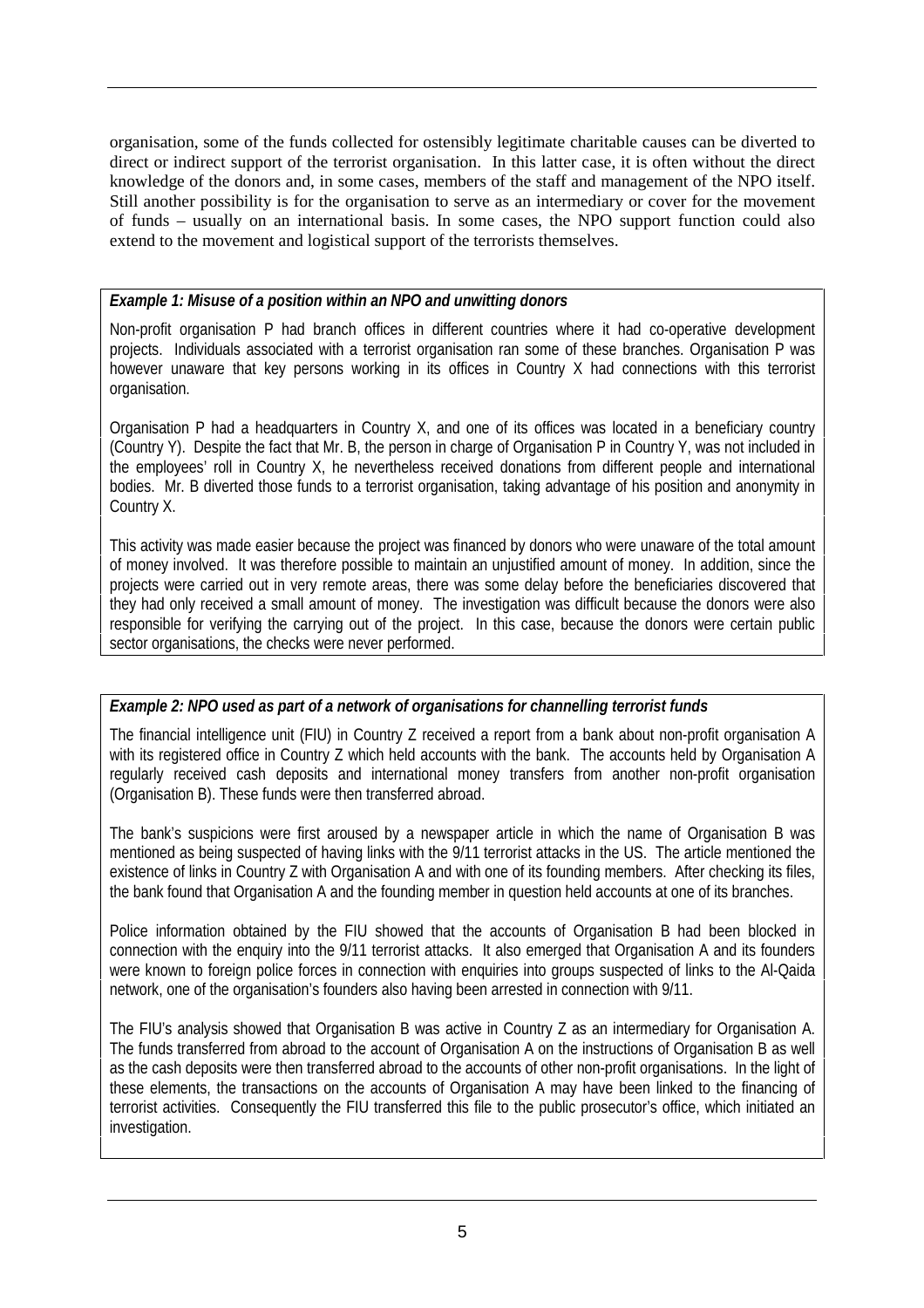organisation, some of the funds collected for ostensibly legitimate charitable causes can be diverted to direct or indirect support of the terrorist organisation. In this latter case, it is often without the direct knowledge of the donors and, in some cases, members of the staff and management of the NPO itself. Still another possibility is for the organisation to serve as an intermediary or cover for the movement of funds – usually on an international basis. In some cases, the NPO support function could also extend to the movement and logistical support of the terrorists themselves.

#### *Example 1: Misuse of a position within an NPO and unwitting donors*

Non-profit organisation P had branch offices in different countries where it had co-operative development projects. Individuals associated with a terrorist organisation ran some of these branches. Organisation P was however unaware that key persons working in its offices in Country X had connections with this terrorist organisation.

Organisation P had a headquarters in Country X, and one of its offices was located in a beneficiary country (Country Y). Despite the fact that Mr. B, the person in charge of Organisation P in Country Y, was not included in the employees' roll in Country X, he nevertheless received donations from different people and international bodies. Mr. B diverted those funds to a terrorist organisation, taking advantage of his position and anonymity in Country X.

This activity was made easier because the project was financed by donors who were unaware of the total amount of money involved. It was therefore possible to maintain an unjustified amount of money. In addition, since the projects were carried out in very remote areas, there was some delay before the beneficiaries discovered that they had only received a small amount of money. The investigation was difficult because the donors were also responsible for verifying the carrying out of the project. In this case, because the donors were certain public sector organisations, the checks were never performed.

# *Example 2: NPO used as part of a network of organisations for channelling terrorist funds*

The financial intelligence unit (FIU) in Country Z received a report from a bank about non-profit organisation A with its registered office in Country Z which held accounts with the bank. The accounts held by Organisation A regularly received cash deposits and international money transfers from another non-profit organisation (Organisation B). These funds were then transferred abroad.

The bank's suspicions were first aroused by a newspaper article in which the name of Organisation B was mentioned as being suspected of having links with the 9/11 terrorist attacks in the US. The article mentioned the existence of links in Country Z with Organisation A and with one of its founding members. After checking its files, the bank found that Organisation A and the founding member in question held accounts at one of its branches.

Police information obtained by the FIU showed that the accounts of Organisation B had been blocked in connection with the enquiry into the 9/11 terrorist attacks. It also emerged that Organisation A and its founders were known to foreign police forces in connection with enquiries into groups suspected of links to the Al-Qaida network, one of the organisation's founders also having been arrested in connection with 9/11.

The FIU's analysis showed that Organisation B was active in Country Z as an intermediary for Organisation A. The funds transferred from abroad to the account of Organisation A on the instructions of Organisation B as well as the cash deposits were then transferred abroad to the accounts of other non-profit organisations. In the light of these elements, the transactions on the accounts of Organisation A may have been linked to the financing of terrorist activities. Consequently the FIU transferred this file to the public prosecutor's office, which initiated an investigation.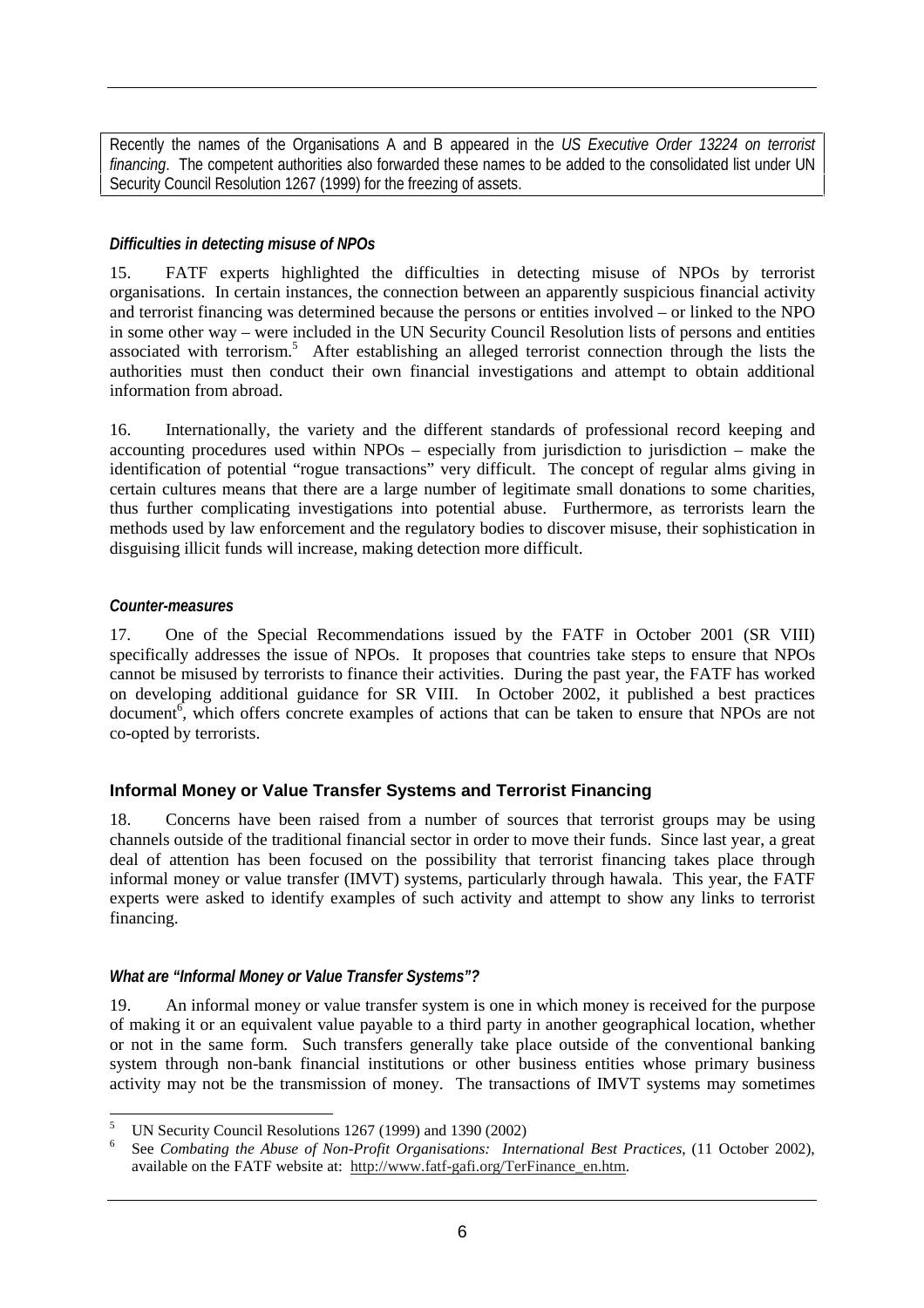Recently the names of the Organisations A and B appeared in the *US Executive Order 13224 on terrorist financing*. The competent authorities also forwarded these names to be added to the consolidated list under UN Security Council Resolution 1267 (1999) for the freezing of assets.

#### *Difficulties in detecting misuse of NPOs*

15. FATF experts highlighted the difficulties in detecting misuse of NPOs by terrorist organisations. In certain instances, the connection between an apparently suspicious financial activity and terrorist financing was determined because the persons or entities involved – or linked to the NPO in some other way – were included in the UN Security Council Resolution lists of persons and entities associated with terrorism.<sup>5</sup> After establishing an alleged terrorist connection through the lists the authorities must then conduct their own financial investigations and attempt to obtain additional information from abroad.

16. Internationally, the variety and the different standards of professional record keeping and accounting procedures used within NPOs – especially from jurisdiction to jurisdiction – make the identification of potential "rogue transactions" very difficult. The concept of regular alms giving in certain cultures means that there are a large number of legitimate small donations to some charities, thus further complicating investigations into potential abuse. Furthermore, as terrorists learn the methods used by law enforcement and the regulatory bodies to discover misuse, their sophistication in disguising illicit funds will increase, making detection more difficult.

#### *Counter-measures*

17. One of the Special Recommendations issued by the FATF in October 2001 (SR VIII) specifically addresses the issue of NPOs. It proposes that countries take steps to ensure that NPOs cannot be misused by terrorists to finance their activities. During the past year, the FATF has worked on developing additional guidance for SR VIII. In October 2002, it published a best practices document<sup>6</sup>, which offers concrete examples of actions that can be taken to ensure that NPOs are not co-opted by terrorists.

# **Informal Money or Value Transfer Systems and Terrorist Financing**

18. Concerns have been raised from a number of sources that terrorist groups may be using channels outside of the traditional financial sector in order to move their funds. Since last year, a great deal of attention has been focused on the possibility that terrorist financing takes place through informal money or value transfer (IMVT) systems, particularly through hawala. This year, the FATF experts were asked to identify examples of such activity and attempt to show any links to terrorist financing.

# *What are "Informal Money or Value Transfer Systems"?*

19. An informal money or value transfer system is one in which money is received for the purpose of making it or an equivalent value payable to a third party in another geographical location, whether or not in the same form. Such transfers generally take place outside of the conventional banking system through non-bank financial institutions or other business entities whose primary business activity may not be the transmission of money. The transactions of IMVT systems may sometimes

 $\overline{a}$ 5 UN Security Council Resolutions 1267 (1999) and 1390 (2002)

<sup>6</sup> See *Combating the Abuse of Non-Profit Organisations: International Best Practices*, (11 October 2002), available on the FATF website at: http://www.fatf-gafi.org/TerFinance\_en.htm.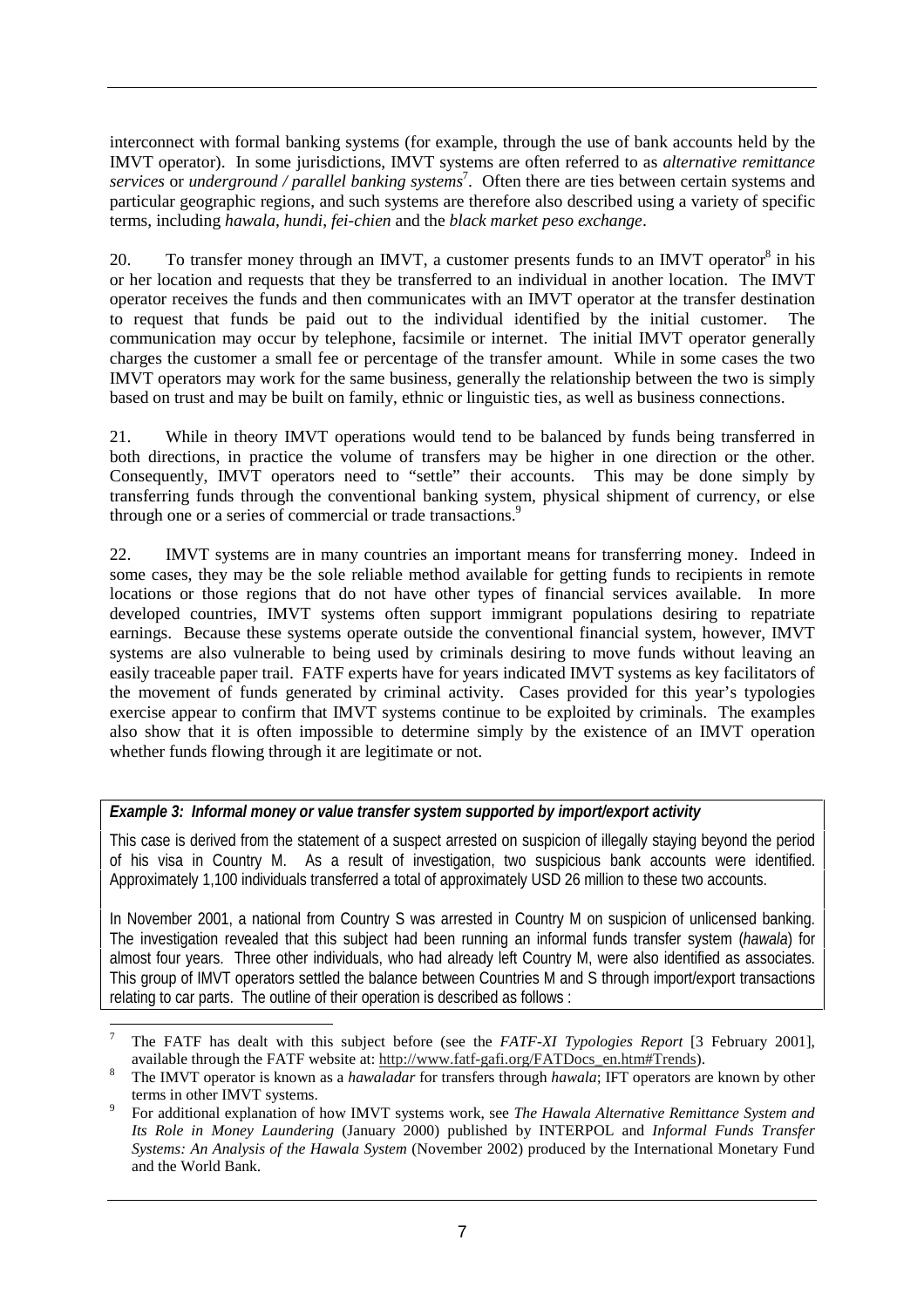interconnect with formal banking systems (for example, through the use of bank accounts held by the IMVT operator). In some jurisdictions, IMVT systems are often referred to as *alternative remittance services* or *underground / parallel banking systems*<sup>7</sup> . Often there are ties between certain systems and particular geographic regions, and such systems are therefore also described using a variety of specific terms, including *hawala*, *hundi*, *fei-chien* and the *black market peso exchange*.

20. To transfer money through an IMVT, a customer presents funds to an IMVT operator<sup>8</sup> in his or her location and requests that they be transferred to an individual in another location. The IMVT operator receives the funds and then communicates with an IMVT operator at the transfer destination to request that funds be paid out to the individual identified by the initial customer. The communication may occur by telephone, facsimile or internet. The initial IMVT operator generally charges the customer a small fee or percentage of the transfer amount. While in some cases the two IMVT operators may work for the same business, generally the relationship between the two is simply based on trust and may be built on family, ethnic or linguistic ties, as well as business connections.

21. While in theory IMVT operations would tend to be balanced by funds being transferred in both directions, in practice the volume of transfers may be higher in one direction or the other. Consequently, IMVT operators need to "settle" their accounts. This may be done simply by transferring funds through the conventional banking system, physical shipment of currency, or else through one or a series of commercial or trade transactions.<sup>9</sup>

22. IMVT systems are in many countries an important means for transferring money. Indeed in some cases, they may be the sole reliable method available for getting funds to recipients in remote locations or those regions that do not have other types of financial services available. In more developed countries, IMVT systems often support immigrant populations desiring to repatriate earnings. Because these systems operate outside the conventional financial system, however, IMVT systems are also vulnerable to being used by criminals desiring to move funds without leaving an easily traceable paper trail. FATF experts have for years indicated IMVT systems as key facilitators of the movement of funds generated by criminal activity. Cases provided for this year's typologies exercise appear to confirm that IMVT systems continue to be exploited by criminals. The examples also show that it is often impossible to determine simply by the existence of an IMVT operation whether funds flowing through it are legitimate or not.

# *Example 3: Informal money or value transfer system supported by import/export activity*

This case is derived from the statement of a suspect arrested on suspicion of illegally staying beyond the period of his visa in Country M. As a result of investigation, two suspicious bank accounts were identified. Approximately 1,100 individuals transferred a total of approximately USD 26 million to these two accounts.

In November 2001, a national from Country S was arrested in Country M on suspicion of unlicensed banking. The investigation revealed that this subject had been running an informal funds transfer system (*hawala*) for almost four years. Three other individuals, who had already left Country M, were also identified as associates. This group of IMVT operators settled the balance between Countries M and S through import/export transactions relating to car parts. The outline of their operation is described as follows :

 $\overline{a}$ 7 The FATF has dealt with this subject before (see the *FATF-XI Typologies Report* [3 February 2001], available through the FATF website at: http://www.fatf-gafi.org/FATDocs\_en.htm#Trends).

The IMVT operator is known as a *hawaladar* for transfers through *hawala*; IFT operators are known by other terms in other IMVT systems.

For additional explanation of how IMVT systems work, see *The Hawala Alternative Remittance System and Its Role in Money Laundering* (January 2000) published by INTERPOL and *Informal Funds Transfer Systems: An Analysis of the Hawala System* (November 2002) produced by the International Monetary Fund and the World Bank.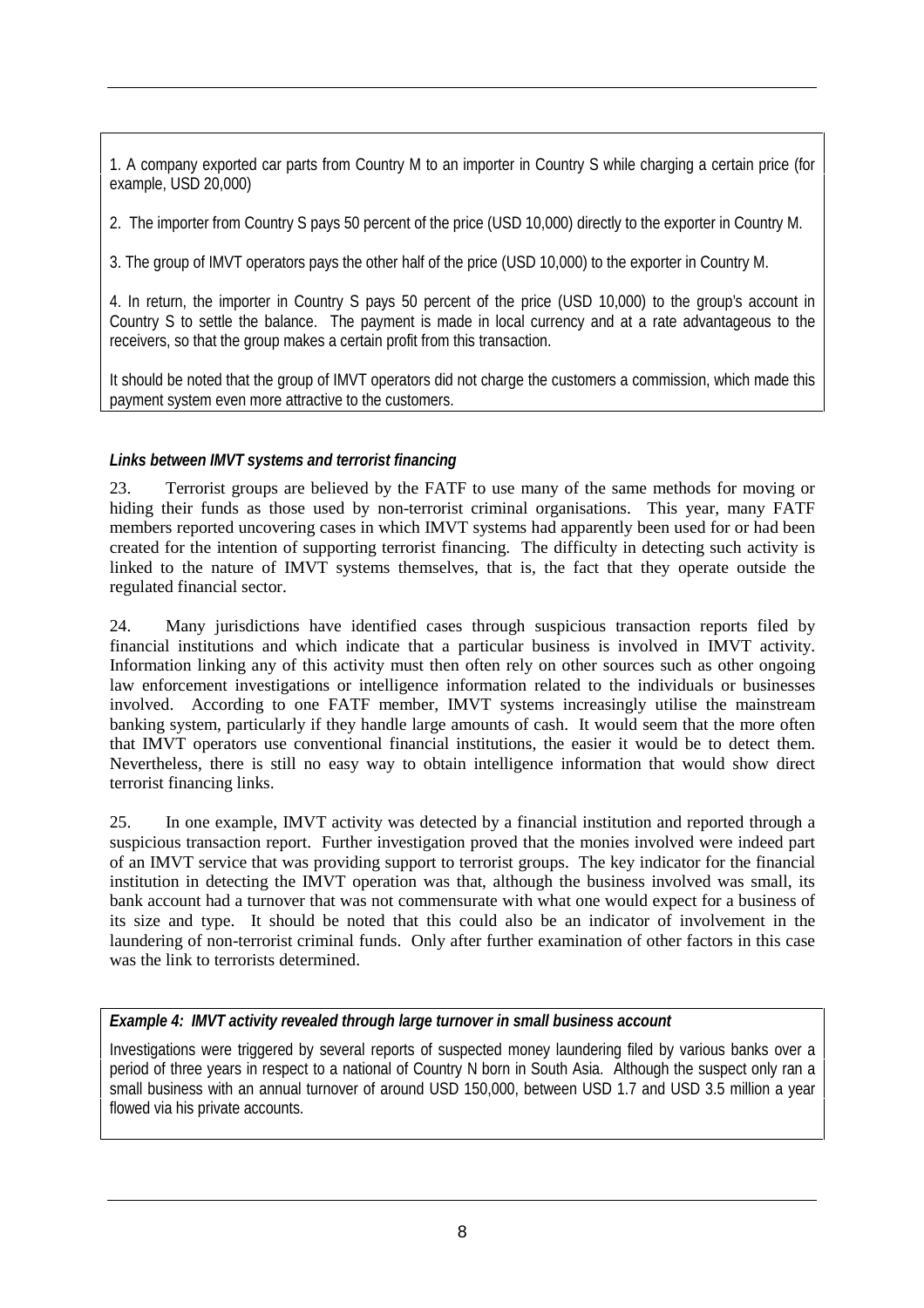1. A company exported car parts from Country M to an importer in Country S while charging a certain price (for example, USD 20,000)

2. The importer from Country S pays 50 percent of the price (USD 10,000) directly to the exporter in Country M.

3. The group of IMVT operators pays the other half of the price (USD 10,000) to the exporter in Country M.

4. In return, the importer in Country S pays 50 percent of the price (USD 10,000) to the group's account in Country S to settle the balance. The payment is made in local currency and at a rate advantageous to the receivers, so that the group makes a certain profit from this transaction.

It should be noted that the group of IMVT operators did not charge the customers a commission, which made this payment system even more attractive to the customers.

#### *Links between IMVT systems and terrorist financing*

23. Terrorist groups are believed by the FATF to use many of the same methods for moving or hiding their funds as those used by non-terrorist criminal organisations. This year, many FATF members reported uncovering cases in which IMVT systems had apparently been used for or had been created for the intention of supporting terrorist financing. The difficulty in detecting such activity is linked to the nature of IMVT systems themselves, that is, the fact that they operate outside the regulated financial sector.

24. Many jurisdictions have identified cases through suspicious transaction reports filed by financial institutions and which indicate that a particular business is involved in IMVT activity. Information linking any of this activity must then often rely on other sources such as other ongoing law enforcement investigations or intelligence information related to the individuals or businesses involved. According to one FATF member, IMVT systems increasingly utilise the mainstream banking system, particularly if they handle large amounts of cash. It would seem that the more often that IMVT operators use conventional financial institutions, the easier it would be to detect them. Nevertheless, there is still no easy way to obtain intelligence information that would show direct terrorist financing links.

25. In one example, IMVT activity was detected by a financial institution and reported through a suspicious transaction report. Further investigation proved that the monies involved were indeed part of an IMVT service that was providing support to terrorist groups. The key indicator for the financial institution in detecting the IMVT operation was that, although the business involved was small, its bank account had a turnover that was not commensurate with what one would expect for a business of its size and type. It should be noted that this could also be an indicator of involvement in the laundering of non-terrorist criminal funds. Only after further examination of other factors in this case was the link to terrorists determined.

# *Example 4: IMVT activity revealed through large turnover in small business account*

Investigations were triggered by several reports of suspected money laundering filed by various banks over a period of three years in respect to a national of Country N born in South Asia. Although the suspect only ran a small business with an annual turnover of around USD 150,000, between USD 1.7 and USD 3.5 million a year flowed via his private accounts.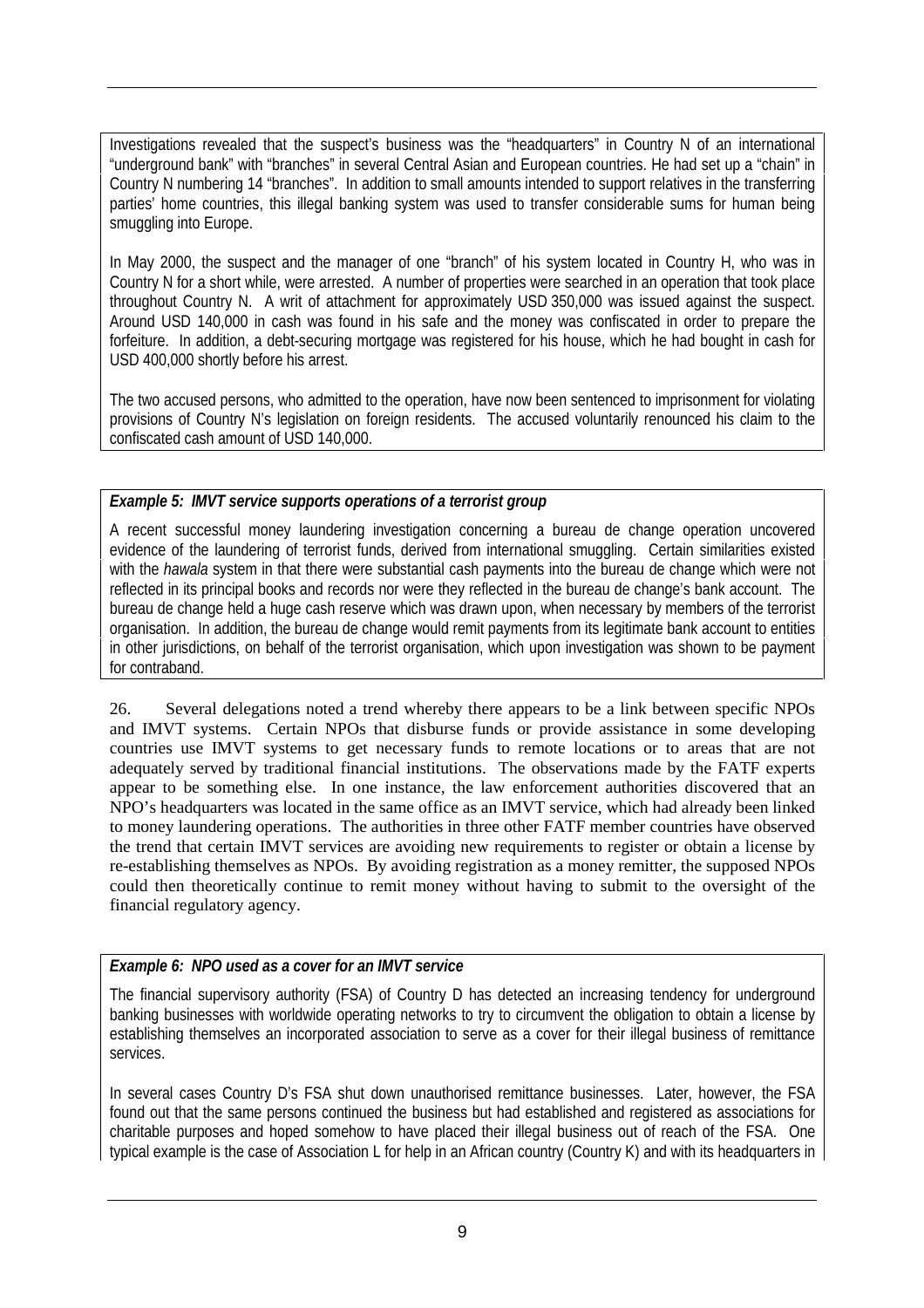Investigations revealed that the suspect's business was the "headquarters" in Country N of an international "underground bank" with "branches" in several Central Asian and European countries. He had set up a "chain" in Country N numbering 14 "branches". In addition to small amounts intended to support relatives in the transferring parties' home countries, this illegal banking system was used to transfer considerable sums for human being smuggling into Europe.

In May 2000, the suspect and the manager of one "branch" of his system located in Country H, who was in Country N for a short while, were arrested. A number of properties were searched in an operation that took place throughout Country N. A writ of attachment for approximately USD 350,000 was issued against the suspect. Around USD 140,000 in cash was found in his safe and the money was confiscated in order to prepare the forfeiture. In addition, a debt-securing mortgage was registered for his house, which he had bought in cash for USD 400,000 shortly before his arrest.

The two accused persons, who admitted to the operation, have now been sentenced to imprisonment for violating provisions of Country N's legislation on foreign residents. The accused voluntarily renounced his claim to the confiscated cash amount of USD 140,000.

# *Example 5: IMVT service supports operations of a terrorist group*

A recent successful money laundering investigation concerning a bureau de change operation uncovered evidence of the laundering of terrorist funds, derived from international smuggling. Certain similarities existed with the *hawala* system in that there were substantial cash payments into the bureau de change which were not reflected in its principal books and records nor were they reflected in the bureau de change's bank account. The bureau de change held a huge cash reserve which was drawn upon, when necessary by members of the terrorist organisation. In addition, the bureau de change would remit payments from its legitimate bank account to entities in other jurisdictions, on behalf of the terrorist organisation, which upon investigation was shown to be payment for contraband.

26. Several delegations noted a trend whereby there appears to be a link between specific NPOs and IMVT systems. Certain NPOs that disburse funds or provide assistance in some developing countries use IMVT systems to get necessary funds to remote locations or to areas that are not adequately served by traditional financial institutions. The observations made by the FATF experts appear to be something else. In one instance, the law enforcement authorities discovered that an NPO's headquarters was located in the same office as an IMVT service, which had already been linked to money laundering operations. The authorities in three other FATF member countries have observed the trend that certain IMVT services are avoiding new requirements to register or obtain a license by re-establishing themselves as NPOs. By avoiding registration as a money remitter, the supposed NPOs could then theoretically continue to remit money without having to submit to the oversight of the financial regulatory agency.

# *Example 6: NPO used as a cover for an IMVT service*

The financial supervisory authority (FSA) of Country D has detected an increasing tendency for underground banking businesses with worldwide operating networks to try to circumvent the obligation to obtain a license by establishing themselves an incorporated association to serve as a cover for their illegal business of remittance services.

In several cases Country D's FSA shut down unauthorised remittance businesses. Later, however, the FSA found out that the same persons continued the business but had established and registered as associations for charitable purposes and hoped somehow to have placed their illegal business out of reach of the FSA. One typical example is the case of Association L for help in an African country (Country K) and with its headquarters in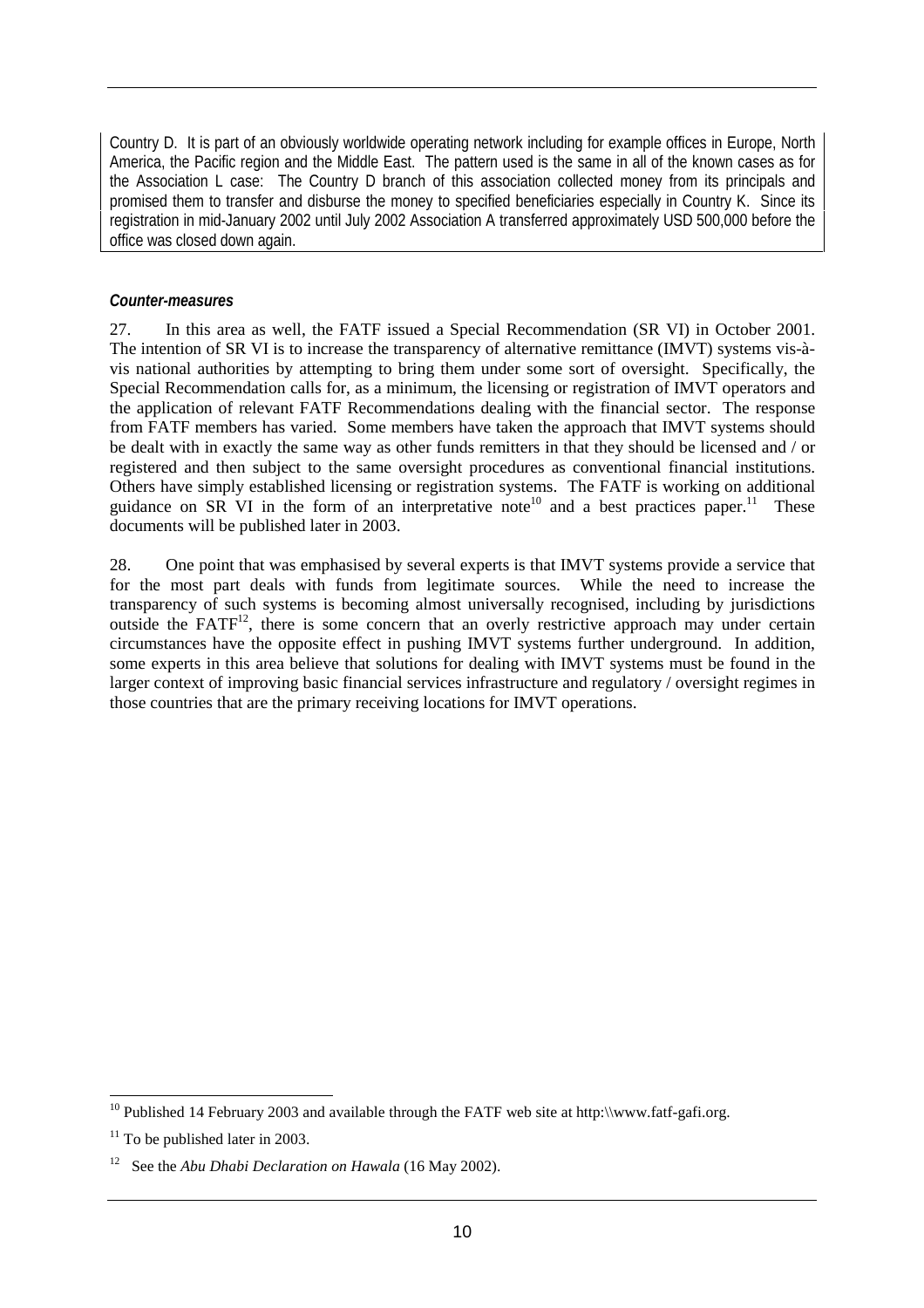Country D. It is part of an obviously worldwide operating network including for example offices in Europe, North America, the Pacific region and the Middle East. The pattern used is the same in all of the known cases as for the Association L case: The Country D branch of this association collected money from its principals and promised them to transfer and disburse the money to specified beneficiaries especially in Country K. Since its registration in mid-January 2002 until July 2002 Association A transferred approximately USD 500,000 before the office was closed down again.

#### *Counter-measures*

27. In this area as well, the FATF issued a Special Recommendation (SR VI) in October 2001. The intention of SR VI is to increase the transparency of alternative remittance (IMVT) systems vis-àvis national authorities by attempting to bring them under some sort of oversight. Specifically, the Special Recommendation calls for, as a minimum, the licensing or registration of IMVT operators and the application of relevant FATF Recommendations dealing with the financial sector. The response from FATF members has varied. Some members have taken the approach that IMVT systems should be dealt with in exactly the same way as other funds remitters in that they should be licensed and / or registered and then subject to the same oversight procedures as conventional financial institutions. Others have simply established licensing or registration systems. The FATF is working on additional guidance on SR VI in the form of an interpretative note<sup>10</sup> and a best practices paper.<sup>11</sup> These documents will be published later in 2003.

28. One point that was emphasised by several experts is that IMVT systems provide a service that for the most part deals with funds from legitimate sources. While the need to increase the transparency of such systems is becoming almost universally recognised, including by jurisdictions outside the  $FATF<sup>12</sup>$ , there is some concern that an overly restrictive approach may under certain circumstances have the opposite effect in pushing IMVT systems further underground. In addition, some experts in this area believe that solutions for dealing with IMVT systems must be found in the larger context of improving basic financial services infrastructure and regulatory / oversight regimes in those countries that are the primary receiving locations for IMVT operations.

 $\overline{a}$ <sup>10</sup> Published 14 February 2003 and available through the FATF web site at http:\\www.fatf-gafi.org.

 $11$  To be published later in 2003.

<sup>12</sup> See the *Abu Dhabi Declaration on Hawala* (16 May 2002).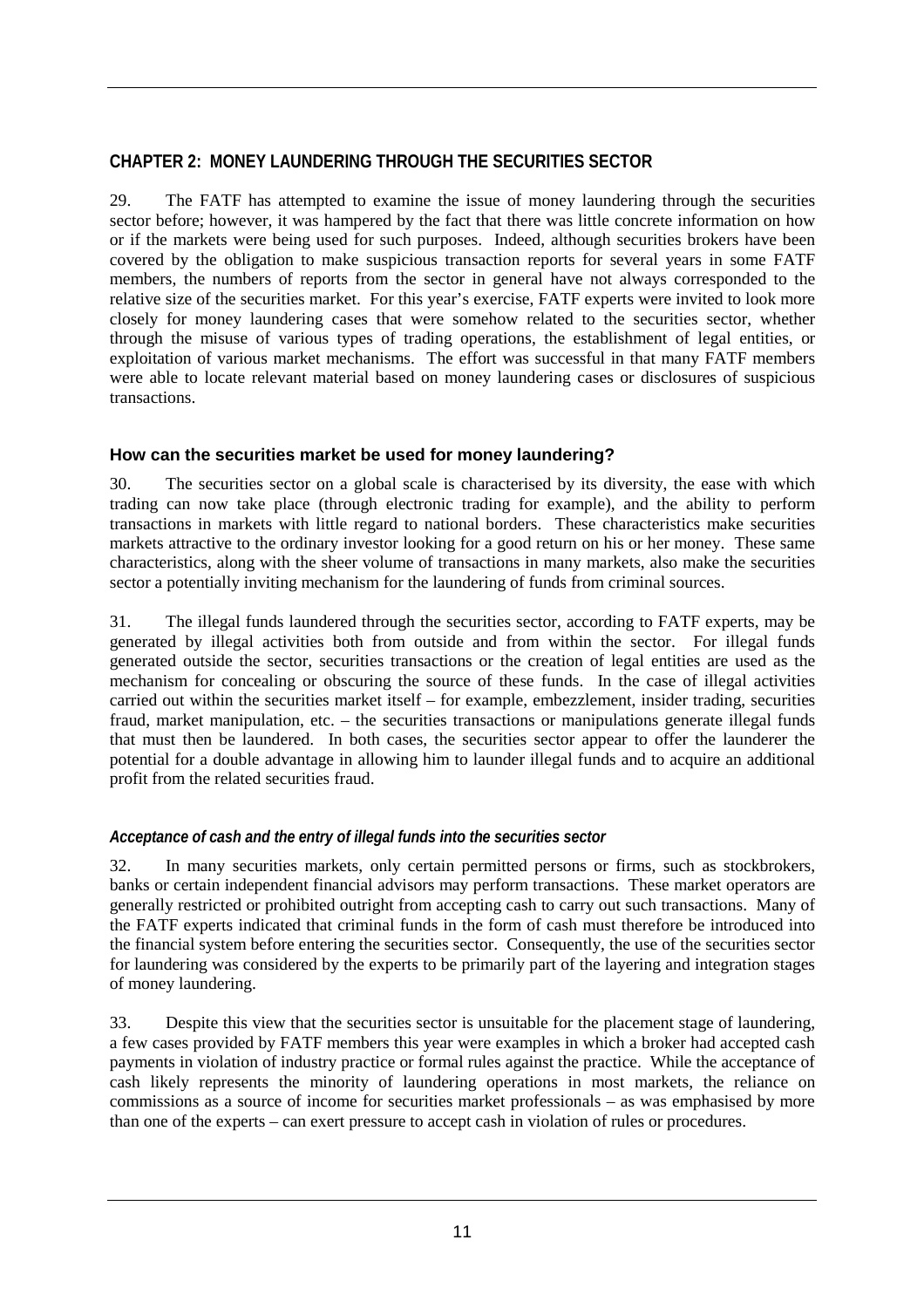# **CHAPTER 2: MONEY LAUNDERING THROUGH THE SECURITIES SECTOR**

29. The FATF has attempted to examine the issue of money laundering through the securities sector before; however, it was hampered by the fact that there was little concrete information on how or if the markets were being used for such purposes. Indeed, although securities brokers have been covered by the obligation to make suspicious transaction reports for several years in some FATF members, the numbers of reports from the sector in general have not always corresponded to the relative size of the securities market. For this year's exercise, FATF experts were invited to look more closely for money laundering cases that were somehow related to the securities sector, whether through the misuse of various types of trading operations, the establishment of legal entities, or exploitation of various market mechanisms. The effort was successful in that many FATF members were able to locate relevant material based on money laundering cases or disclosures of suspicious transactions.

# **How can the securities market be used for money laundering?**

30. The securities sector on a global scale is characterised by its diversity, the ease with which trading can now take place (through electronic trading for example), and the ability to perform transactions in markets with little regard to national borders. These characteristics make securities markets attractive to the ordinary investor looking for a good return on his or her money. These same characteristics, along with the sheer volume of transactions in many markets, also make the securities sector a potentially inviting mechanism for the laundering of funds from criminal sources.

31. The illegal funds laundered through the securities sector, according to FATF experts, may be generated by illegal activities both from outside and from within the sector. For illegal funds generated outside the sector, securities transactions or the creation of legal entities are used as the mechanism for concealing or obscuring the source of these funds. In the case of illegal activities carried out within the securities market itself – for example, embezzlement, insider trading, securities fraud, market manipulation, etc. – the securities transactions or manipulations generate illegal funds that must then be laundered. In both cases, the securities sector appear to offer the launderer the potential for a double advantage in allowing him to launder illegal funds and to acquire an additional profit from the related securities fraud.

# *Acceptance of cash and the entry of illegal funds into the securities sector*

32. In many securities markets, only certain permitted persons or firms, such as stockbrokers, banks or certain independent financial advisors may perform transactions. These market operators are generally restricted or prohibited outright from accepting cash to carry out such transactions. Many of the FATF experts indicated that criminal funds in the form of cash must therefore be introduced into the financial system before entering the securities sector. Consequently, the use of the securities sector for laundering was considered by the experts to be primarily part of the layering and integration stages of money laundering.

33. Despite this view that the securities sector is unsuitable for the placement stage of laundering, a few cases provided by FATF members this year were examples in which a broker had accepted cash payments in violation of industry practice or formal rules against the practice. While the acceptance of cash likely represents the minority of laundering operations in most markets, the reliance on commissions as a source of income for securities market professionals – as was emphasised by more than one of the experts – can exert pressure to accept cash in violation of rules or procedures.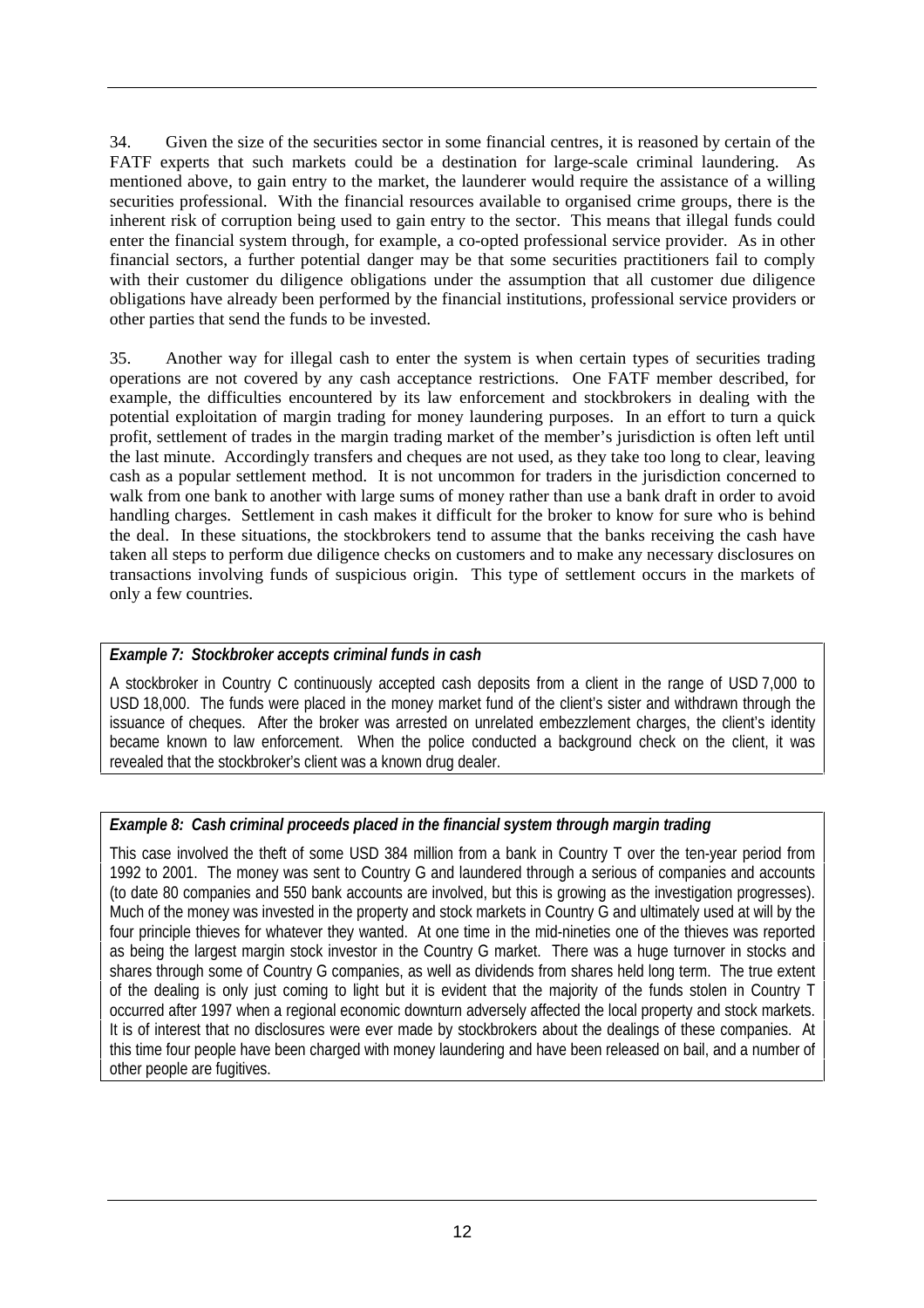34. Given the size of the securities sector in some financial centres, it is reasoned by certain of the FATF experts that such markets could be a destination for large-scale criminal laundering. As mentioned above, to gain entry to the market, the launderer would require the assistance of a willing securities professional. With the financial resources available to organised crime groups, there is the inherent risk of corruption being used to gain entry to the sector. This means that illegal funds could enter the financial system through, for example, a co-opted professional service provider. As in other financial sectors, a further potential danger may be that some securities practitioners fail to comply with their customer du diligence obligations under the assumption that all customer due diligence obligations have already been performed by the financial institutions, professional service providers or other parties that send the funds to be invested.

35. Another way for illegal cash to enter the system is when certain types of securities trading operations are not covered by any cash acceptance restrictions. One FATF member described, for example, the difficulties encountered by its law enforcement and stockbrokers in dealing with the potential exploitation of margin trading for money laundering purposes. In an effort to turn a quick profit, settlement of trades in the margin trading market of the member's jurisdiction is often left until the last minute. Accordingly transfers and cheques are not used, as they take too long to clear, leaving cash as a popular settlement method. It is not uncommon for traders in the jurisdiction concerned to walk from one bank to another with large sums of money rather than use a bank draft in order to avoid handling charges. Settlement in cash makes it difficult for the broker to know for sure who is behind the deal. In these situations, the stockbrokers tend to assume that the banks receiving the cash have taken all steps to perform due diligence checks on customers and to make any necessary disclosures on transactions involving funds of suspicious origin. This type of settlement occurs in the markets of only a few countries.

#### *Example 7: Stockbroker accepts criminal funds in cash*

A stockbroker in Country C continuously accepted cash deposits from a client in the range of USD 7,000 to USD 18,000. The funds were placed in the money market fund of the client's sister and withdrawn through the issuance of cheques. After the broker was arrested on unrelated embezzlement charges, the client's identity became known to law enforcement. When the police conducted a background check on the client, it was revealed that the stockbroker's client was a known drug dealer.

# *Example 8: Cash criminal proceeds placed in the financial system through margin trading*

This case involved the theft of some USD 384 million from a bank in Country T over the ten-year period from 1992 to 2001. The money was sent to Country G and laundered through a serious of companies and accounts (to date 80 companies and 550 bank accounts are involved, but this is growing as the investigation progresses). Much of the money was invested in the property and stock markets in Country G and ultimately used at will by the four principle thieves for whatever they wanted. At one time in the mid-nineties one of the thieves was reported as being the largest margin stock investor in the Country G market. There was a huge turnover in stocks and shares through some of Country G companies, as well as dividends from shares held long term. The true extent of the dealing is only just coming to light but it is evident that the majority of the funds stolen in Country T occurred after 1997 when a regional economic downturn adversely affected the local property and stock markets. It is of interest that no disclosures were ever made by stockbrokers about the dealings of these companies. At this time four people have been charged with money laundering and have been released on bail, and a number of other people are fugitives.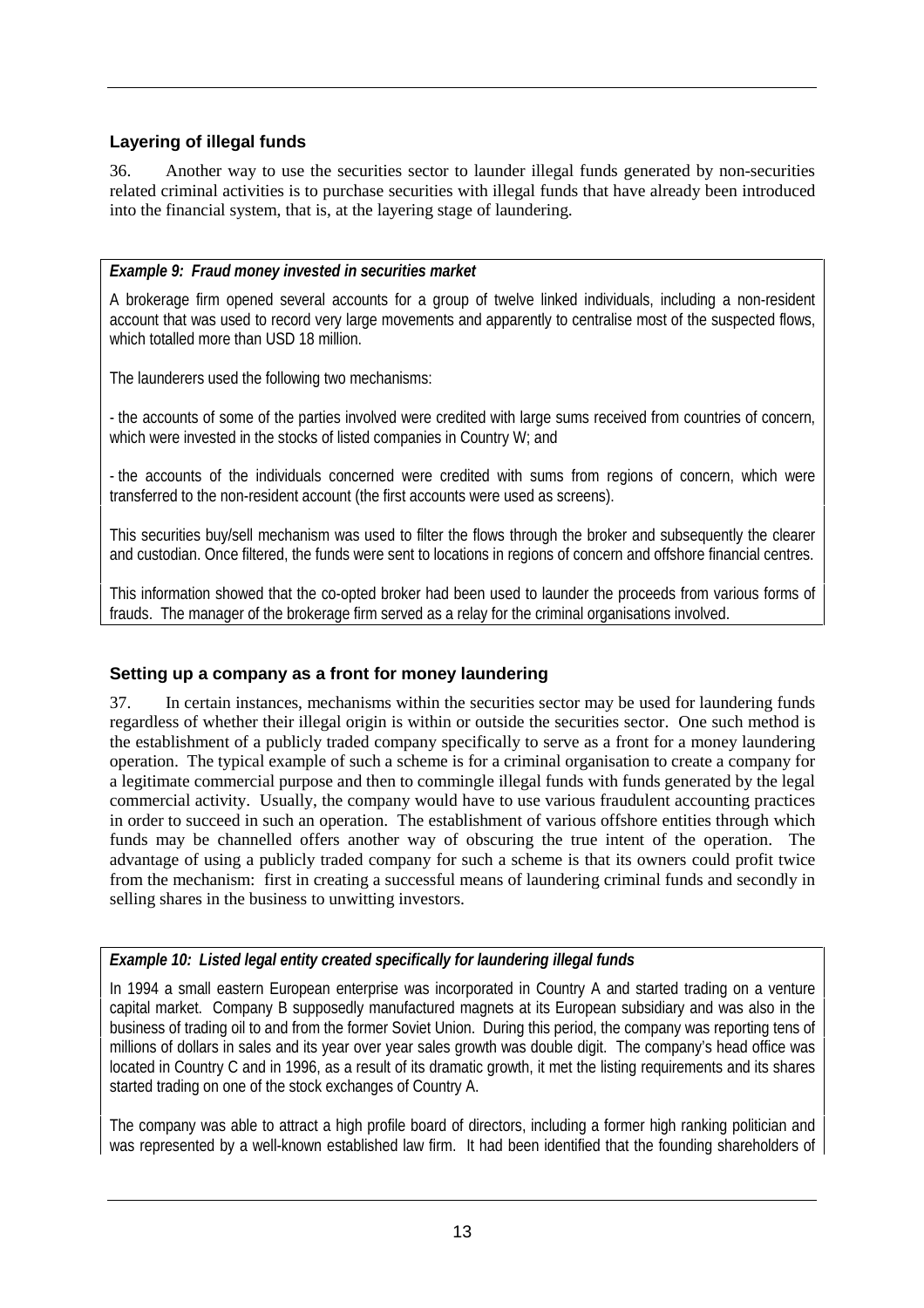# **Layering of illegal funds**

36. Another way to use the securities sector to launder illegal funds generated by non-securities related criminal activities is to purchase securities with illegal funds that have already been introduced into the financial system, that is, at the layering stage of laundering.

#### *Example 9: Fraud money invested in securities market*

A brokerage firm opened several accounts for a group of twelve linked individuals, including a non-resident account that was used to record very large movements and apparently to centralise most of the suspected flows, which totalled more than USD 18 million.

The launderers used the following two mechanisms:

- the accounts of some of the parties involved were credited with large sums received from countries of concern, which were invested in the stocks of listed companies in Country W; and

- the accounts of the individuals concerned were credited with sums from regions of concern, which were transferred to the non-resident account (the first accounts were used as screens).

This securities buy/sell mechanism was used to filter the flows through the broker and subsequently the clearer and custodian. Once filtered, the funds were sent to locations in regions of concern and offshore financial centres.

This information showed that the co-opted broker had been used to launder the proceeds from various forms of frauds. The manager of the brokerage firm served as a relay for the criminal organisations involved.

# **Setting up a company as a front for money laundering**

37. In certain instances, mechanisms within the securities sector may be used for laundering funds regardless of whether their illegal origin is within or outside the securities sector. One such method is the establishment of a publicly traded company specifically to serve as a front for a money laundering operation. The typical example of such a scheme is for a criminal organisation to create a company for a legitimate commercial purpose and then to commingle illegal funds with funds generated by the legal commercial activity. Usually, the company would have to use various fraudulent accounting practices in order to succeed in such an operation. The establishment of various offshore entities through which funds may be channelled offers another way of obscuring the true intent of the operation. The advantage of using a publicly traded company for such a scheme is that its owners could profit twice from the mechanism: first in creating a successful means of laundering criminal funds and secondly in selling shares in the business to unwitting investors.

# *Example 10: Listed legal entity created specifically for laundering illegal funds*

In 1994 a small eastern European enterprise was incorporated in Country A and started trading on a venture capital market. Company B supposedly manufactured magnets at its European subsidiary and was also in the business of trading oil to and from the former Soviet Union. During this period, the company was reporting tens of millions of dollars in sales and its year over year sales growth was double digit. The company's head office was located in Country C and in 1996, as a result of its dramatic growth, it met the listing requirements and its shares started trading on one of the stock exchanges of Country A.

The company was able to attract a high profile board of directors, including a former high ranking politician and was represented by a well-known established law firm. It had been identified that the founding shareholders of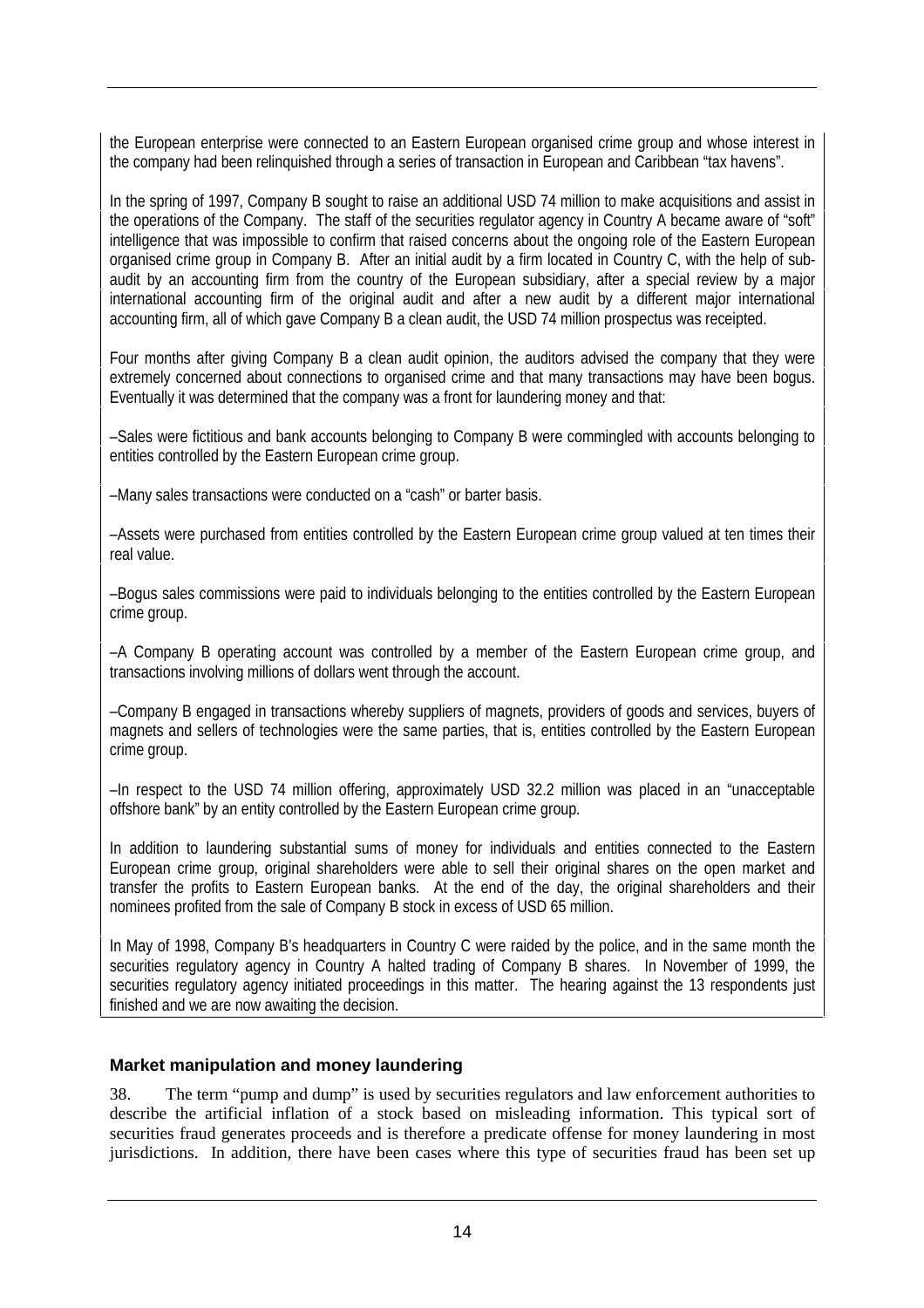the European enterprise were connected to an Eastern European organised crime group and whose interest in the company had been relinquished through a series of transaction in European and Caribbean "tax havens".

In the spring of 1997, Company B sought to raise an additional USD 74 million to make acquisitions and assist in the operations of the Company. The staff of the securities regulator agency in Country A became aware of "soft" intelligence that was impossible to confirm that raised concerns about the ongoing role of the Eastern European organised crime group in Company B. After an initial audit by a firm located in Country C, with the help of subaudit by an accounting firm from the country of the European subsidiary, after a special review by a major international accounting firm of the original audit and after a new audit by a different major international accounting firm, all of which gave Company B a clean audit, the USD 74 million prospectus was receipted.

Four months after giving Company B a clean audit opinion, the auditors advised the company that they were extremely concerned about connections to organised crime and that many transactions may have been bogus. Eventually it was determined that the company was a front for laundering money and that:

–Sales were fictitious and bank accounts belonging to Company B were commingled with accounts belonging to entities controlled by the Eastern European crime group.

–Many sales transactions were conducted on a "cash" or barter basis.

–Assets were purchased from entities controlled by the Eastern European crime group valued at ten times their real value.

–Bogus sales commissions were paid to individuals belonging to the entities controlled by the Eastern European crime group.

–A Company B operating account was controlled by a member of the Eastern European crime group, and transactions involving millions of dollars went through the account.

–Company B engaged in transactions whereby suppliers of magnets, providers of goods and services, buyers of magnets and sellers of technologies were the same parties, that is, entities controlled by the Eastern European crime group.

–In respect to the USD 74 million offering, approximately USD 32.2 million was placed in an "unacceptable offshore bank" by an entity controlled by the Eastern European crime group.

In addition to laundering substantial sums of money for individuals and entities connected to the Eastern European crime group, original shareholders were able to sell their original shares on the open market and transfer the profits to Eastern European banks. At the end of the day, the original shareholders and their nominees profited from the sale of Company B stock in excess of USD 65 million.

In May of 1998, Company B's headquarters in Country C were raided by the police, and in the same month the securities regulatory agency in Country A halted trading of Company B shares. In November of 1999, the securities regulatory agency initiated proceedings in this matter. The hearing against the 13 respondents just finished and we are now awaiting the decision.

# **Market manipulation and money laundering**

38. The term "pump and dump" is used by securities regulators and law enforcement authorities to describe the artificial inflation of a stock based on misleading information. This typical sort of securities fraud generates proceeds and is therefore a predicate offense for money laundering in most jurisdictions. In addition, there have been cases where this type of securities fraud has been set up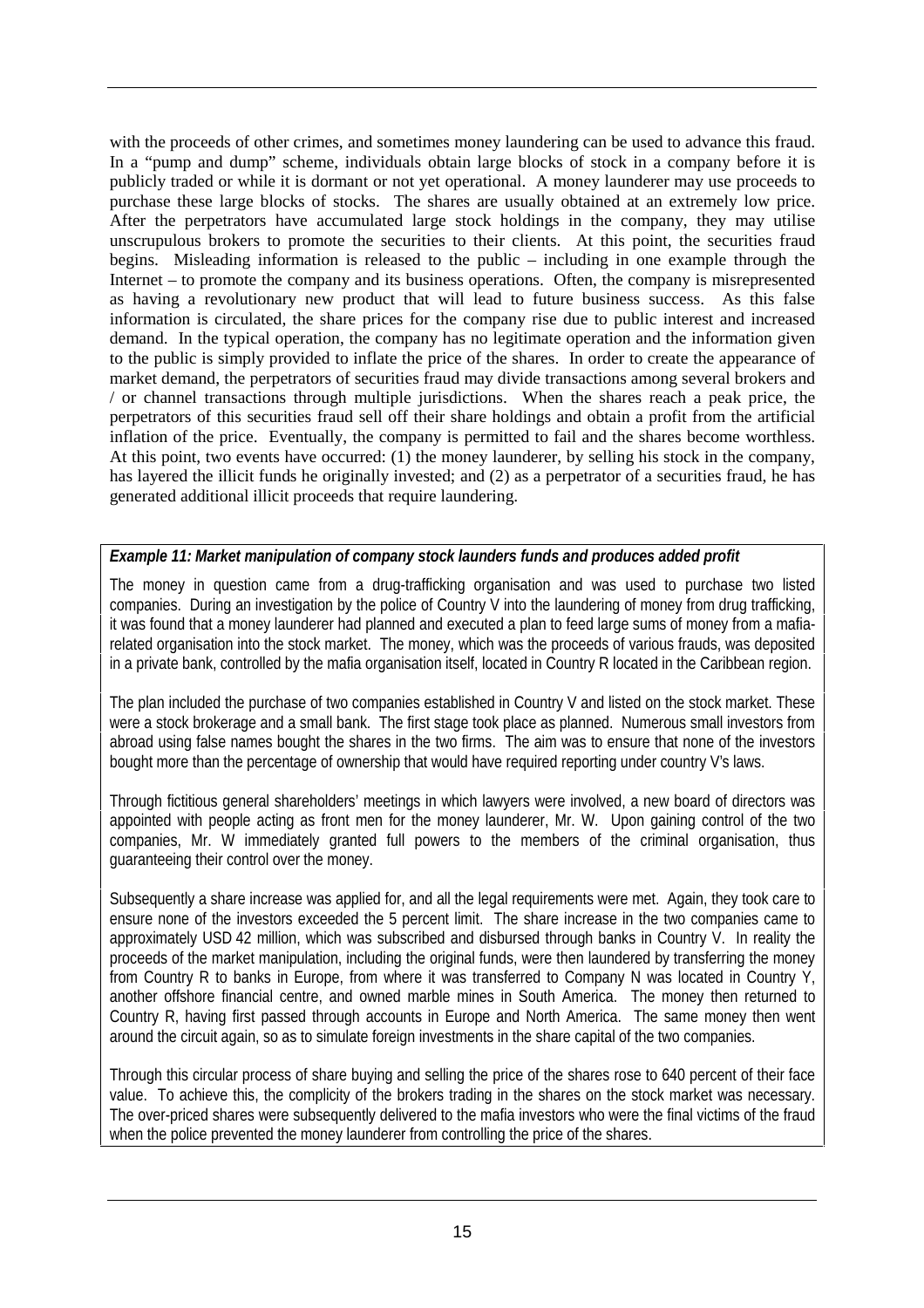with the proceeds of other crimes, and sometimes money laundering can be used to advance this fraud. In a "pump and dump" scheme, individuals obtain large blocks of stock in a company before it is publicly traded or while it is dormant or not yet operational. A money launderer may use proceeds to purchase these large blocks of stocks. The shares are usually obtained at an extremely low price. After the perpetrators have accumulated large stock holdings in the company, they may utilise unscrupulous brokers to promote the securities to their clients. At this point, the securities fraud begins. Misleading information is released to the public – including in one example through the Internet – to promote the company and its business operations. Often, the company is misrepresented as having a revolutionary new product that will lead to future business success. As this false information is circulated, the share prices for the company rise due to public interest and increased demand. In the typical operation, the company has no legitimate operation and the information given to the public is simply provided to inflate the price of the shares. In order to create the appearance of market demand, the perpetrators of securities fraud may divide transactions among several brokers and / or channel transactions through multiple jurisdictions. When the shares reach a peak price, the perpetrators of this securities fraud sell off their share holdings and obtain a profit from the artificial inflation of the price. Eventually, the company is permitted to fail and the shares become worthless. At this point, two events have occurred: (1) the money launderer, by selling his stock in the company, has layered the illicit funds he originally invested; and (2) as a perpetrator of a securities fraud, he has generated additional illicit proceeds that require laundering.

#### *Example 11: Market manipulation of company stock launders funds and produces added profit*

The money in question came from a drug-trafficking organisation and was used to purchase two listed companies. During an investigation by the police of Country V into the laundering of money from drug trafficking, it was found that a money launderer had planned and executed a plan to feed large sums of money from a mafiarelated organisation into the stock market. The money, which was the proceeds of various frauds, was deposited in a private bank, controlled by the mafia organisation itself, located in Country R located in the Caribbean region.

The plan included the purchase of two companies established in Country V and listed on the stock market. These were a stock brokerage and a small bank. The first stage took place as planned. Numerous small investors from abroad using false names bought the shares in the two firms. The aim was to ensure that none of the investors bought more than the percentage of ownership that would have required reporting under country V's laws.

Through fictitious general shareholders' meetings in which lawyers were involved, a new board of directors was appointed with people acting as front men for the money launderer, Mr. W. Upon gaining control of the two companies, Mr. W immediately granted full powers to the members of the criminal organisation, thus guaranteeing their control over the money.

Subsequently a share increase was applied for, and all the legal requirements were met. Again, they took care to ensure none of the investors exceeded the 5 percent limit. The share increase in the two companies came to approximately USD 42 million, which was subscribed and disbursed through banks in Country V. In reality the proceeds of the market manipulation, including the original funds, were then laundered by transferring the money from Country R to banks in Europe, from where it was transferred to Company N was located in Country Y, another offshore financial centre, and owned marble mines in South America. The money then returned to Country R, having first passed through accounts in Europe and North America. The same money then went around the circuit again, so as to simulate foreign investments in the share capital of the two companies.

Through this circular process of share buying and selling the price of the shares rose to 640 percent of their face value. To achieve this, the complicity of the brokers trading in the shares on the stock market was necessary. The over-priced shares were subsequently delivered to the mafia investors who were the final victims of the fraud when the police prevented the money launderer from controlling the price of the shares.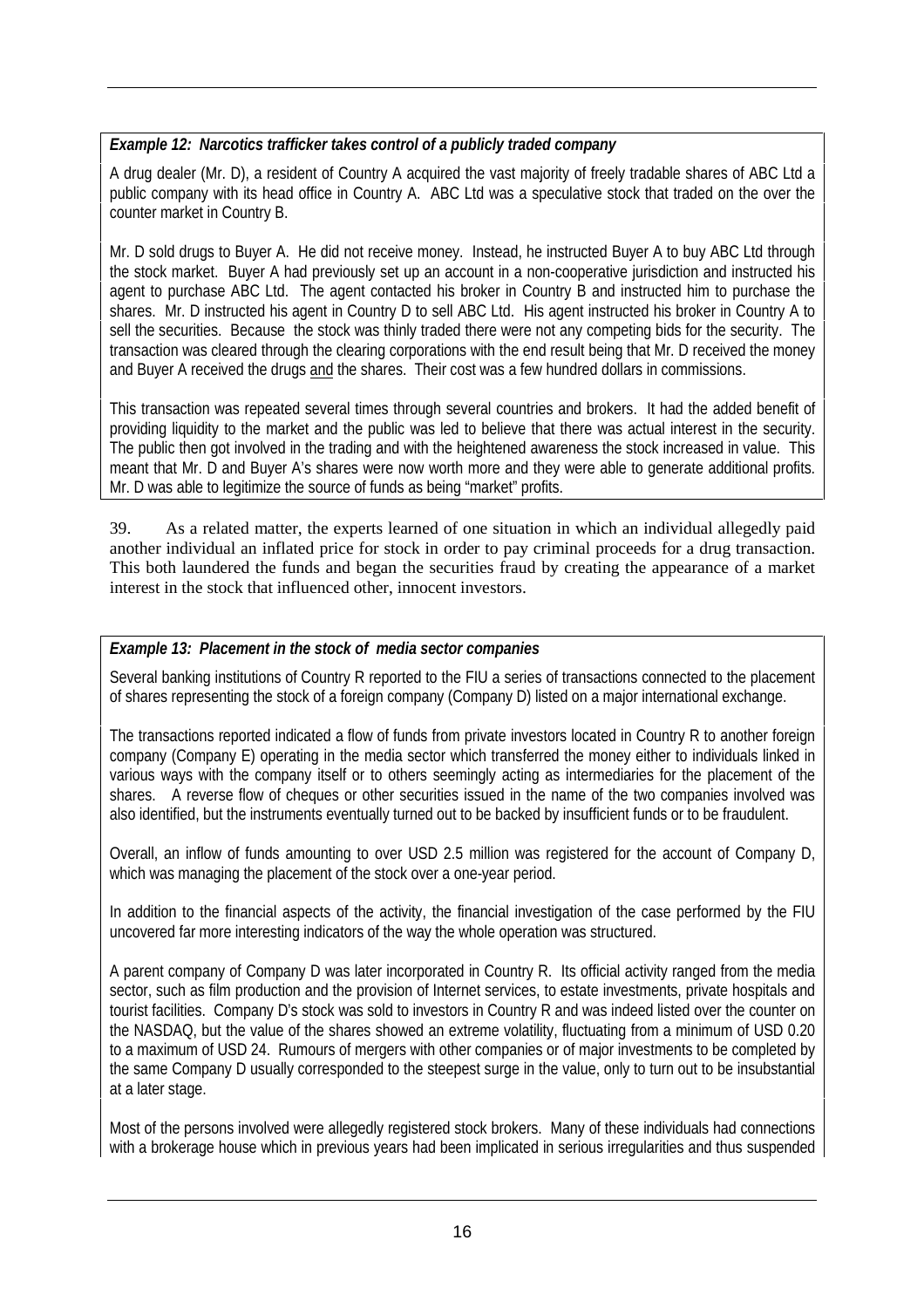# *Example 12: Narcotics trafficker takes control of a publicly traded company*

A drug dealer (Mr. D), a resident of Country A acquired the vast majority of freely tradable shares of ABC Ltd a public company with its head office in Country A. ABC Ltd was a speculative stock that traded on the over the counter market in Country B.

Mr. D sold drugs to Buyer A. He did not receive money. Instead, he instructed Buyer A to buy ABC Ltd through the stock market. Buyer A had previously set up an account in a non-cooperative jurisdiction and instructed his agent to purchase ABC Ltd. The agent contacted his broker in Country B and instructed him to purchase the shares. Mr. D instructed his agent in Country D to sell ABC Ltd. His agent instructed his broker in Country A to sell the securities. Because the stock was thinly traded there were not any competing bids for the security. The transaction was cleared through the clearing corporations with the end result being that Mr. D received the money and Buyer A received the drugs and the shares. Their cost was a few hundred dollars in commissions.

This transaction was repeated several times through several countries and brokers. It had the added benefit of providing liquidity to the market and the public was led to believe that there was actual interest in the security. The public then got involved in the trading and with the heightened awareness the stock increased in value. This meant that Mr. D and Buyer A's shares were now worth more and they were able to generate additional profits. Mr. D was able to legitimize the source of funds as being "market" profits.

39. As a related matter, the experts learned of one situation in which an individual allegedly paid another individual an inflated price for stock in order to pay criminal proceeds for a drug transaction. This both laundered the funds and began the securities fraud by creating the appearance of a market interest in the stock that influenced other, innocent investors.

#### *Example 13: Placement in the stock of media sector companies*

Several banking institutions of Country R reported to the FIU a series of transactions connected to the placement of shares representing the stock of a foreign company (Company D) listed on a major international exchange.

The transactions reported indicated a flow of funds from private investors located in Country R to another foreign company (Company E) operating in the media sector which transferred the money either to individuals linked in various ways with the company itself or to others seemingly acting as intermediaries for the placement of the shares. A reverse flow of cheques or other securities issued in the name of the two companies involved was also identified, but the instruments eventually turned out to be backed by insufficient funds or to be fraudulent.

Overall, an inflow of funds amounting to over USD 2.5 million was registered for the account of Company D, which was managing the placement of the stock over a one-year period.

In addition to the financial aspects of the activity, the financial investigation of the case performed by the FIU uncovered far more interesting indicators of the way the whole operation was structured.

A parent company of Company D was later incorporated in Country R. Its official activity ranged from the media sector, such as film production and the provision of Internet services, to estate investments, private hospitals and tourist facilities. Company D's stock was sold to investors in Country R and was indeed listed over the counter on the NASDAQ, but the value of the shares showed an extreme volatility, fluctuating from a minimum of USD 0.20 to a maximum of USD 24. Rumours of mergers with other companies or of major investments to be completed by the same Company D usually corresponded to the steepest surge in the value, only to turn out to be insubstantial at a later stage.

Most of the persons involved were allegedly registered stock brokers. Many of these individuals had connections with a brokerage house which in previous years had been implicated in serious irregularities and thus suspended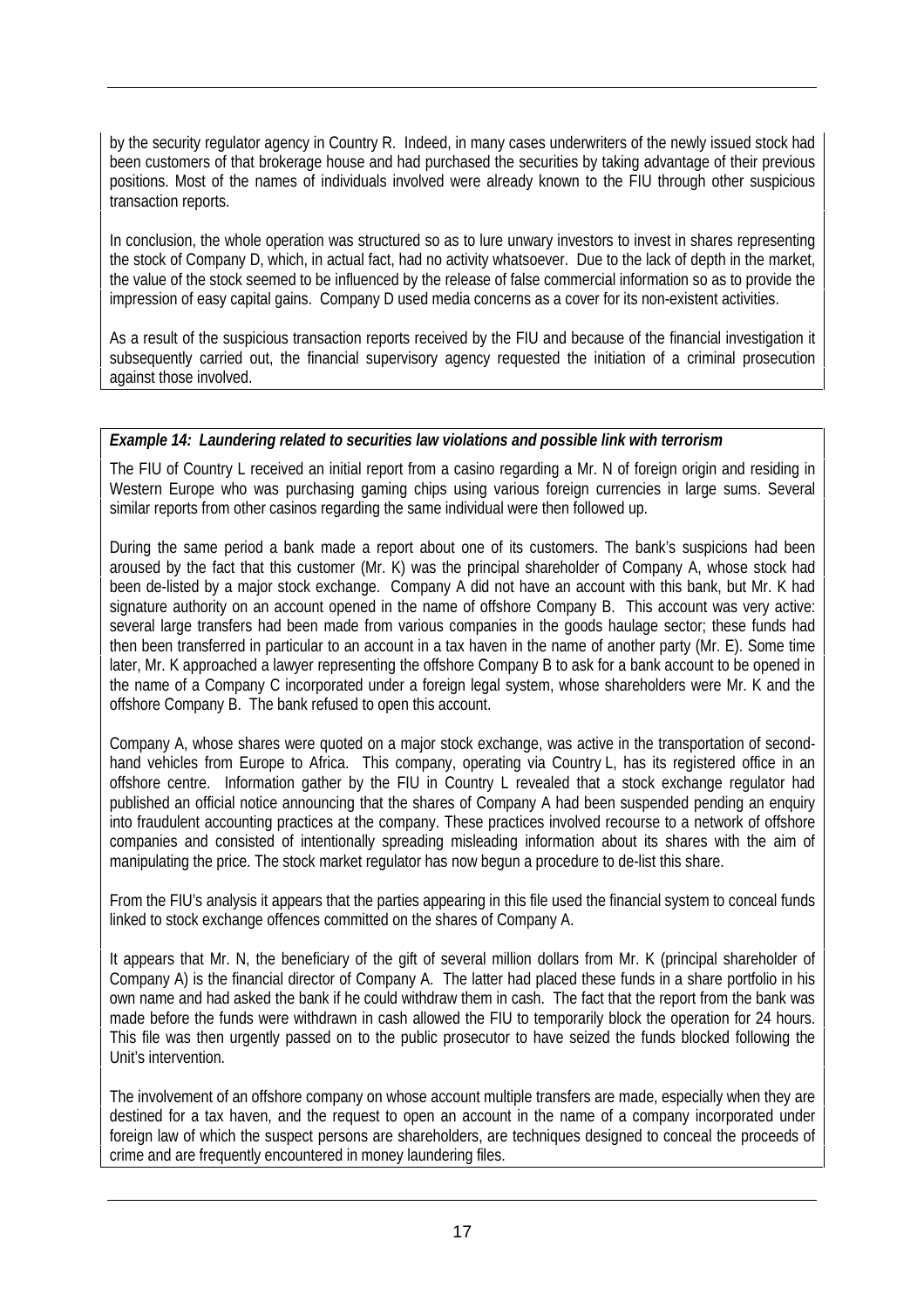by the security regulator agency in Country R. Indeed, in many cases underwriters of the newly issued stock had been customers of that brokerage house and had purchased the securities by taking advantage of their previous positions. Most of the names of individuals involved were already known to the FIU through other suspicious transaction reports.

In conclusion, the whole operation was structured so as to lure unwary investors to invest in shares representing the stock of Company D, which, in actual fact, had no activity whatsoever. Due to the lack of depth in the market, the value of the stock seemed to be influenced by the release of false commercial information so as to provide the impression of easy capital gains. Company D used media concerns as a cover for its non-existent activities.

As a result of the suspicious transaction reports received by the FIU and because of the financial investigation it subsequently carried out, the financial supervisory agency requested the initiation of a criminal prosecution against those involved.

#### *Example 14: Laundering related to securities law violations and possible link with terrorism*

The FIU of Country L received an initial report from a casino regarding a Mr. N of foreign origin and residing in Western Europe who was purchasing gaming chips using various foreign currencies in large sums. Several similar reports from other casinos regarding the same individual were then followed up.

During the same period a bank made a report about one of its customers. The bank's suspicions had been aroused by the fact that this customer (Mr. K) was the principal shareholder of Company A, whose stock had been de-listed by a major stock exchange. Company A did not have an account with this bank, but Mr. K had signature authority on an account opened in the name of offshore Company B. This account was very active: several large transfers had been made from various companies in the goods haulage sector; these funds had then been transferred in particular to an account in a tax haven in the name of another party (Mr. E). Some time later, Mr. K approached a lawyer representing the offshore Company B to ask for a bank account to be opened in the name of a Company C incorporated under a foreign legal system, whose shareholders were Mr. K and the offshore Company B. The bank refused to open this account.

Company A, whose shares were quoted on a major stock exchange, was active in the transportation of secondhand vehicles from Europe to Africa. This company, operating via Country L, has its registered office in an offshore centre. Information gather by the FIU in Country L revealed that a stock exchange regulator had published an official notice announcing that the shares of Company A had been suspended pending an enquiry into fraudulent accounting practices at the company. These practices involved recourse to a network of offshore companies and consisted of intentionally spreading misleading information about its shares with the aim of manipulating the price. The stock market regulator has now begun a procedure to de-list this share.

From the FIU's analysis it appears that the parties appearing in this file used the financial system to conceal funds linked to stock exchange offences committed on the shares of Company A.

It appears that Mr. N, the beneficiary of the gift of several million dollars from Mr. K (principal shareholder of Company A) is the financial director of Company A. The latter had placed these funds in a share portfolio in his own name and had asked the bank if he could withdraw them in cash. The fact that the report from the bank was made before the funds were withdrawn in cash allowed the FIU to temporarily block the operation for 24 hours. This file was then urgently passed on to the public prosecutor to have seized the funds blocked following the Unit's intervention.

The involvement of an offshore company on whose account multiple transfers are made, especially when they are destined for a tax haven, and the request to open an account in the name of a company incorporated under foreign law of which the suspect persons are shareholders, are techniques designed to conceal the proceeds of crime and are frequently encountered in money laundering files.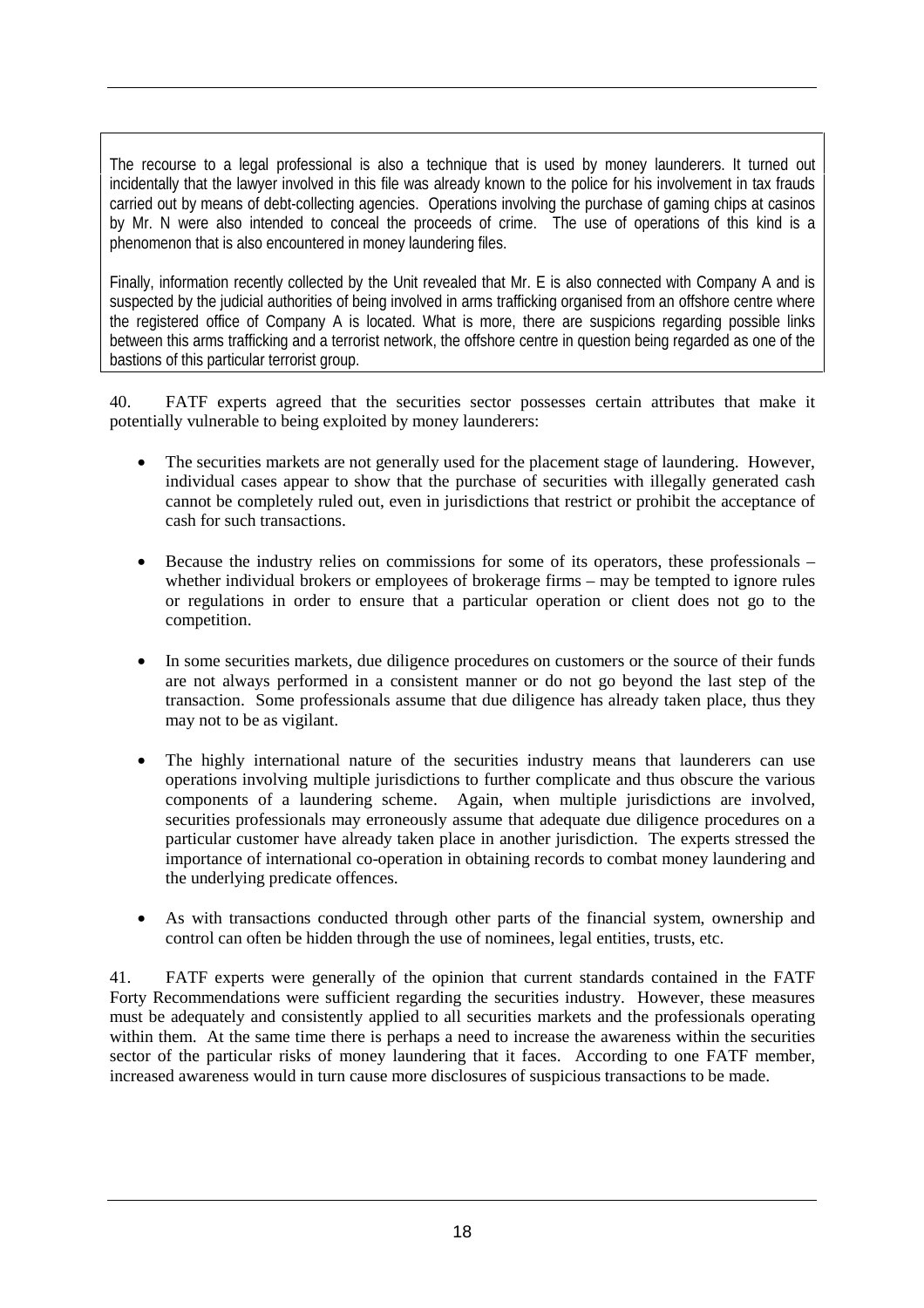The recourse to a legal professional is also a technique that is used by money launderers. It turned out incidentally that the lawyer involved in this file was already known to the police for his involvement in tax frauds carried out by means of debt-collecting agencies. Operations involving the purchase of gaming chips at casinos by Mr. N were also intended to conceal the proceeds of crime. The use of operations of this kind is a phenomenon that is also encountered in money laundering files.

Finally, information recently collected by the Unit revealed that Mr. E is also connected with Company A and is suspected by the judicial authorities of being involved in arms trafficking organised from an offshore centre where the registered office of Company A is located. What is more, there are suspicions regarding possible links between this arms trafficking and a terrorist network, the offshore centre in question being regarded as one of the bastions of this particular terrorist group.

40. FATF experts agreed that the securities sector possesses certain attributes that make it potentially vulnerable to being exploited by money launderers:

- The securities markets are not generally used for the placement stage of laundering. However, individual cases appear to show that the purchase of securities with illegally generated cash cannot be completely ruled out, even in jurisdictions that restrict or prohibit the acceptance of cash for such transactions.
- Because the industry relies on commissions for some of its operators, these professionals whether individual brokers or employees of brokerage firms – may be tempted to ignore rules or regulations in order to ensure that a particular operation or client does not go to the competition.
- In some securities markets, due diligence procedures on customers or the source of their funds are not always performed in a consistent manner or do not go beyond the last step of the transaction. Some professionals assume that due diligence has already taken place, thus they may not to be as vigilant.
- The highly international nature of the securities industry means that launderers can use operations involving multiple jurisdictions to further complicate and thus obscure the various components of a laundering scheme. Again, when multiple jurisdictions are involved, securities professionals may erroneously assume that adequate due diligence procedures on a particular customer have already taken place in another jurisdiction. The experts stressed the importance of international co-operation in obtaining records to combat money laundering and the underlying predicate offences.
- As with transactions conducted through other parts of the financial system, ownership and control can often be hidden through the use of nominees, legal entities, trusts, etc.

41. FATF experts were generally of the opinion that current standards contained in the FATF Forty Recommendations were sufficient regarding the securities industry. However, these measures must be adequately and consistently applied to all securities markets and the professionals operating within them. At the same time there is perhaps a need to increase the awareness within the securities sector of the particular risks of money laundering that it faces. According to one FATF member, increased awareness would in turn cause more disclosures of suspicious transactions to be made.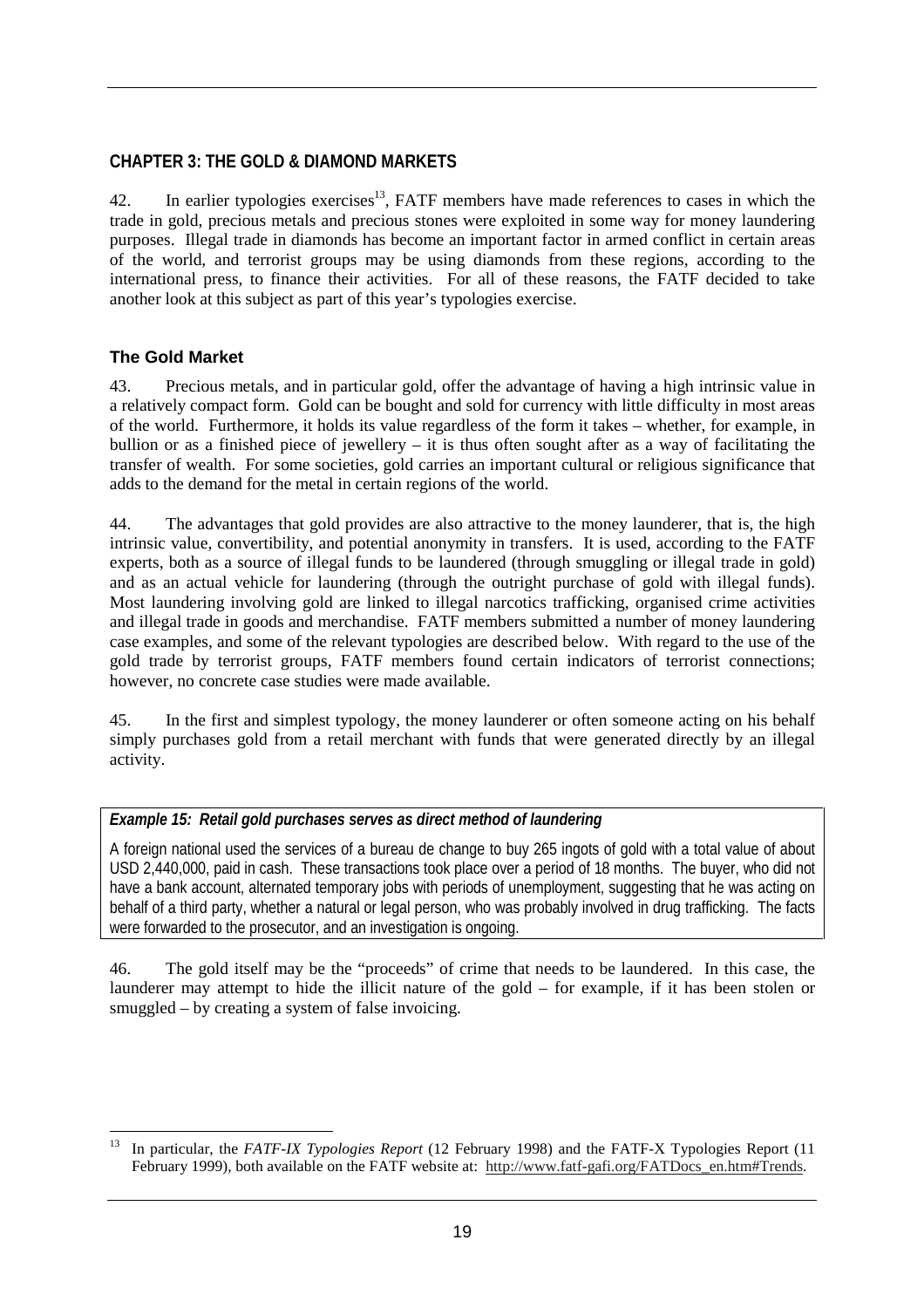# **CHAPTER 3: THE GOLD & DIAMOND MARKETS**

42. In earlier typologies exercises<sup>13</sup>, FATF members have made references to cases in which the trade in gold, precious metals and precious stones were exploited in some way for money laundering purposes. Illegal trade in diamonds has become an important factor in armed conflict in certain areas of the world, and terrorist groups may be using diamonds from these regions, according to the international press, to finance their activities. For all of these reasons, the FATF decided to take another look at this subject as part of this year's typologies exercise.

# **The Gold Market**

43. Precious metals, and in particular gold, offer the advantage of having a high intrinsic value in a relatively compact form. Gold can be bought and sold for currency with little difficulty in most areas of the world. Furthermore, it holds its value regardless of the form it takes – whether, for example, in bullion or as a finished piece of jewellery – it is thus often sought after as a way of facilitating the transfer of wealth. For some societies, gold carries an important cultural or religious significance that adds to the demand for the metal in certain regions of the world.

44. The advantages that gold provides are also attractive to the money launderer, that is, the high intrinsic value, convertibility, and potential anonymity in transfers. It is used, according to the FATF experts, both as a source of illegal funds to be laundered (through smuggling or illegal trade in gold) and as an actual vehicle for laundering (through the outright purchase of gold with illegal funds). Most laundering involving gold are linked to illegal narcotics trafficking, organised crime activities and illegal trade in goods and merchandise. FATF members submitted a number of money laundering case examples, and some of the relevant typologies are described below. With regard to the use of the gold trade by terrorist groups, FATF members found certain indicators of terrorist connections; however, no concrete case studies were made available.

45. In the first and simplest typology, the money launderer or often someone acting on his behalf simply purchases gold from a retail merchant with funds that were generated directly by an illegal activity.

# *Example 15: Retail gold purchases serves as direct method of laundering*

A foreign national used the services of a bureau de change to buy 265 ingots of gold with a total value of about USD 2,440,000, paid in cash. These transactions took place over a period of 18 months. The buyer, who did not have a bank account, alternated temporary jobs with periods of unemployment, suggesting that he was acting on behalf of a third party, whether a natural or legal person, who was probably involved in drug trafficking. The facts were forwarded to the prosecutor, and an investigation is ongoing.

46. The gold itself may be the "proceeds" of crime that needs to be laundered. In this case, the launderer may attempt to hide the illicit nature of the gold – for example, if it has been stolen or smuggled – by creating a system of false invoicing.

 $\overline{a}$ 13 In particular, the *FATF-IX Typologies Report* (12 February 1998) and the FATF-X Typologies Report (11 February 1999), both available on the FATF website at: http://www.fatf-gafi.org/FATDocs\_en.htm#Trends.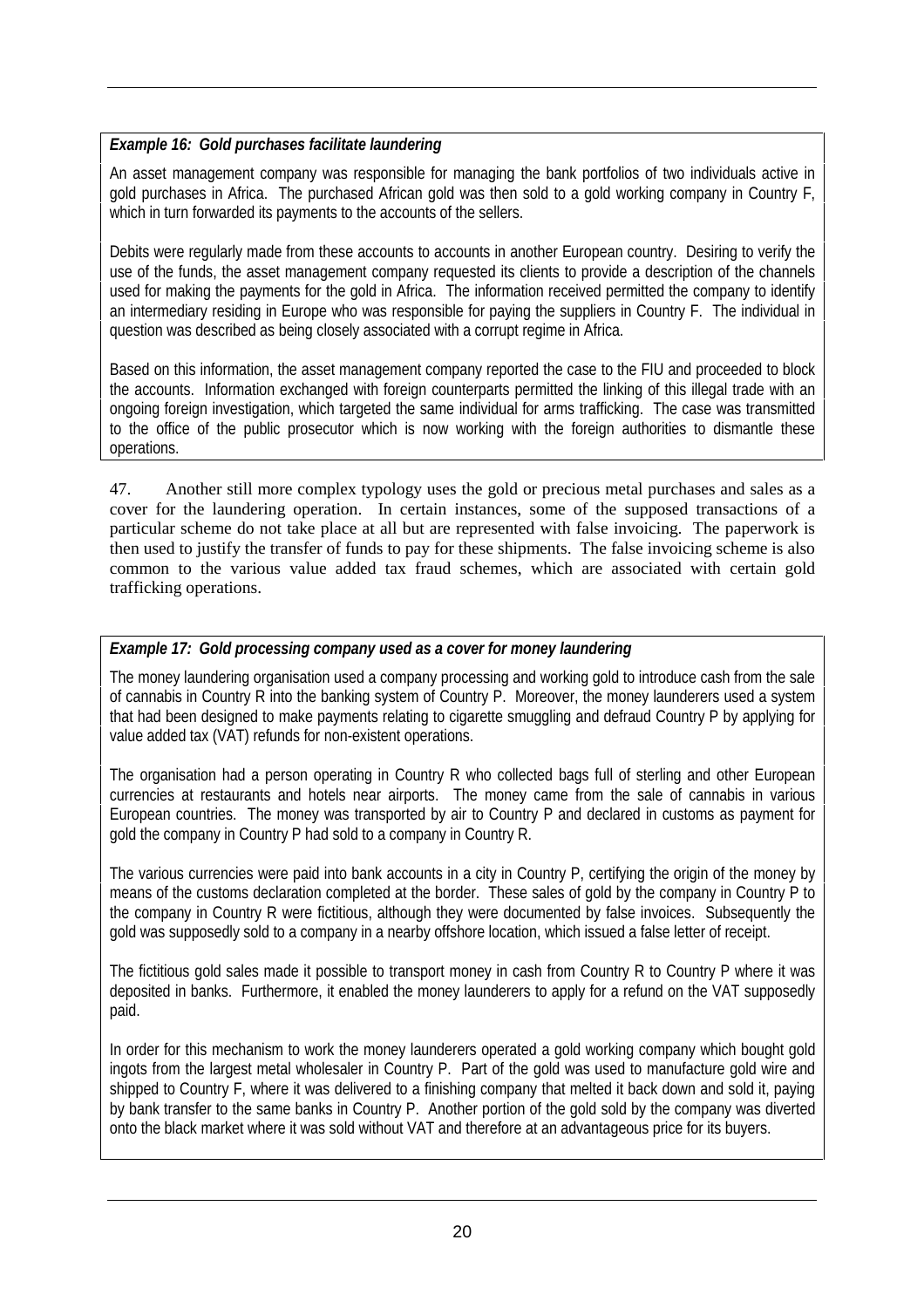# *Example 16: Gold purchases facilitate laundering*

An asset management company was responsible for managing the bank portfolios of two individuals active in gold purchases in Africa. The purchased African gold was then sold to a gold working company in Country F, which in turn forwarded its payments to the accounts of the sellers.

Debits were regularly made from these accounts to accounts in another European country. Desiring to verify the use of the funds, the asset management company requested its clients to provide a description of the channels used for making the payments for the gold in Africa. The information received permitted the company to identify an intermediary residing in Europe who was responsible for paying the suppliers in Country F. The individual in question was described as being closely associated with a corrupt regime in Africa.

Based on this information, the asset management company reported the case to the FIU and proceeded to block the accounts. Information exchanged with foreign counterparts permitted the linking of this illegal trade with an ongoing foreign investigation, which targeted the same individual for arms trafficking. The case was transmitted to the office of the public prosecutor which is now working with the foreign authorities to dismantle these operations.

47. Another still more complex typology uses the gold or precious metal purchases and sales as a cover for the laundering operation. In certain instances, some of the supposed transactions of a particular scheme do not take place at all but are represented with false invoicing. The paperwork is then used to justify the transfer of funds to pay for these shipments. The false invoicing scheme is also common to the various value added tax fraud schemes, which are associated with certain gold trafficking operations.

# *Example 17: Gold processing company used as a cover for money laundering*

The money laundering organisation used a company processing and working gold to introduce cash from the sale of cannabis in Country R into the banking system of Country P. Moreover, the money launderers used a system that had been designed to make payments relating to cigarette smuggling and defraud Country P by applying for value added tax (VAT) refunds for non-existent operations.

The organisation had a person operating in Country R who collected bags full of sterling and other European currencies at restaurants and hotels near airports. The money came from the sale of cannabis in various European countries. The money was transported by air to Country P and declared in customs as payment for gold the company in Country P had sold to a company in Country R.

The various currencies were paid into bank accounts in a city in Country P, certifying the origin of the money by means of the customs declaration completed at the border. These sales of gold by the company in Country P to the company in Country R were fictitious, although they were documented by false invoices. Subsequently the gold was supposedly sold to a company in a nearby offshore location, which issued a false letter of receipt.

The fictitious gold sales made it possible to transport money in cash from Country R to Country P where it was deposited in banks. Furthermore, it enabled the money launderers to apply for a refund on the VAT supposedly paid.

In order for this mechanism to work the money launderers operated a gold working company which bought gold ingots from the largest metal wholesaler in Country P. Part of the gold was used to manufacture gold wire and shipped to Country F, where it was delivered to a finishing company that melted it back down and sold it, paying by bank transfer to the same banks in Country P. Another portion of the gold sold by the company was diverted onto the black market where it was sold without VAT and therefore at an advantageous price for its buyers.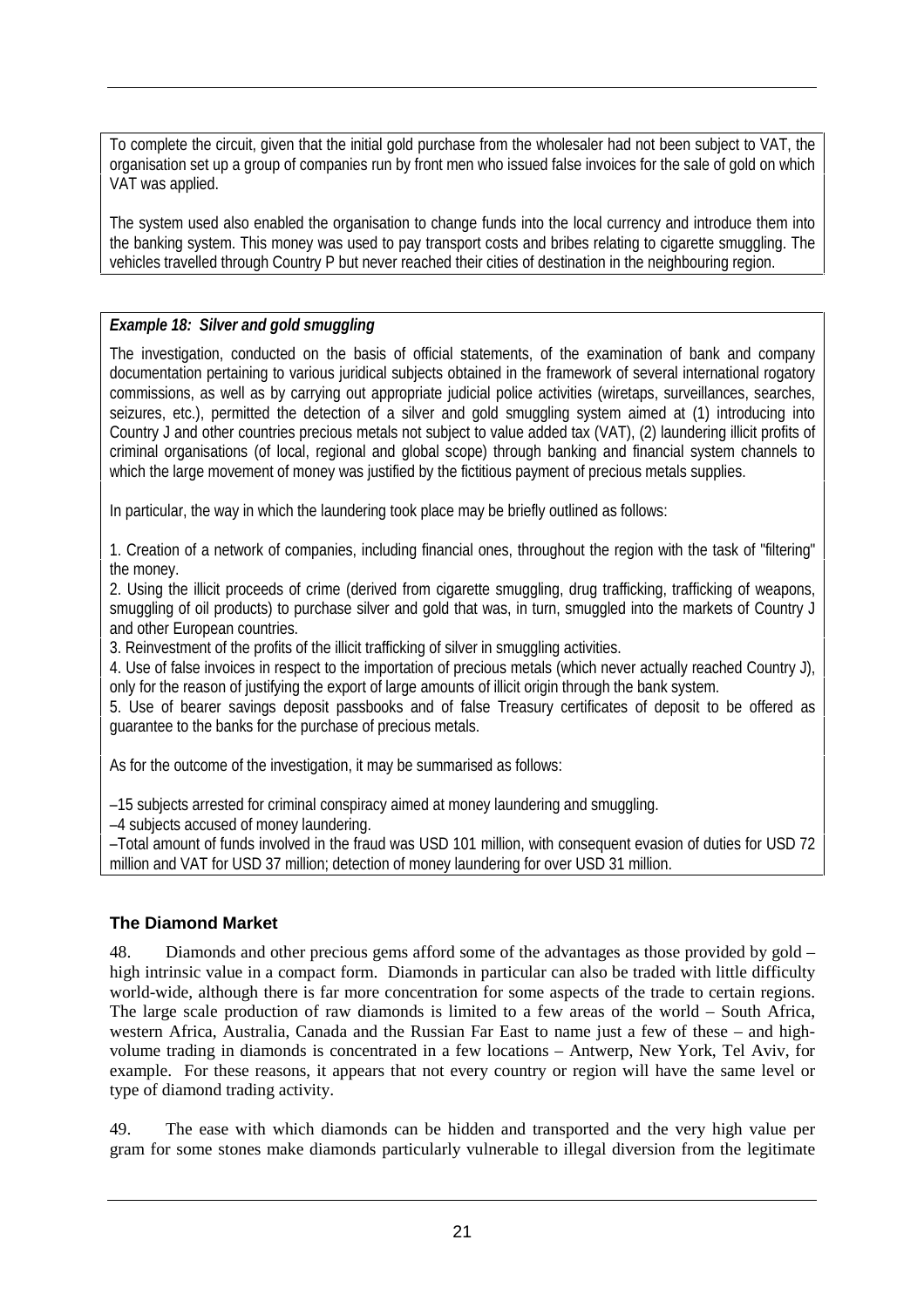To complete the circuit, given that the initial gold purchase from the wholesaler had not been subject to VAT, the organisation set up a group of companies run by front men who issued false invoices for the sale of gold on which VAT was applied.

The system used also enabled the organisation to change funds into the local currency and introduce them into the banking system. This money was used to pay transport costs and bribes relating to cigarette smuggling. The vehicles travelled through Country P but never reached their cities of destination in the neighbouring region.

# *Example 18: Silver and gold smuggling*

The investigation, conducted on the basis of official statements, of the examination of bank and company documentation pertaining to various juridical subjects obtained in the framework of several international rogatory commissions, as well as by carrying out appropriate judicial police activities (wiretaps, surveillances, searches, seizures, etc.), permitted the detection of a silver and gold smuggling system aimed at (1) introducing into Country J and other countries precious metals not subject to value added tax (VAT), (2) laundering illicit profits of criminal organisations (of local, regional and global scope) through banking and financial system channels to which the large movement of money was justified by the fictitious payment of precious metals supplies.

In particular, the way in which the laundering took place may be briefly outlined as follows:

1. Creation of a network of companies, including financial ones, throughout the region with the task of "filtering" the money.

2. Using the illicit proceeds of crime (derived from cigarette smuggling, drug trafficking, trafficking of weapons, smuggling of oil products) to purchase silver and gold that was, in turn, smuggled into the markets of Country J and other European countries.

3. Reinvestment of the profits of the illicit trafficking of silver in smuggling activities.

4. Use of false invoices in respect to the importation of precious metals (which never actually reached Country J), only for the reason of justifying the export of large amounts of illicit origin through the bank system.

5. Use of bearer savings deposit passbooks and of false Treasury certificates of deposit to be offered as guarantee to the banks for the purchase of precious metals.

As for the outcome of the investigation, it may be summarised as follows:

–15 subjects arrested for criminal conspiracy aimed at money laundering and smuggling.

–4 subjects accused of money laundering.

–Total amount of funds involved in the fraud was USD 101 million, with consequent evasion of duties for USD 72 million and VAT for USD 37 million; detection of money laundering for over USD 31 million.

# **The Diamond Market**

48. Diamonds and other precious gems afford some of the advantages as those provided by gold – high intrinsic value in a compact form. Diamonds in particular can also be traded with little difficulty world-wide, although there is far more concentration for some aspects of the trade to certain regions. The large scale production of raw diamonds is limited to a few areas of the world – South Africa, western Africa, Australia, Canada and the Russian Far East to name just a few of these – and highvolume trading in diamonds is concentrated in a few locations – Antwerp, New York, Tel Aviv, for example. For these reasons, it appears that not every country or region will have the same level or type of diamond trading activity.

49. The ease with which diamonds can be hidden and transported and the very high value per gram for some stones make diamonds particularly vulnerable to illegal diversion from the legitimate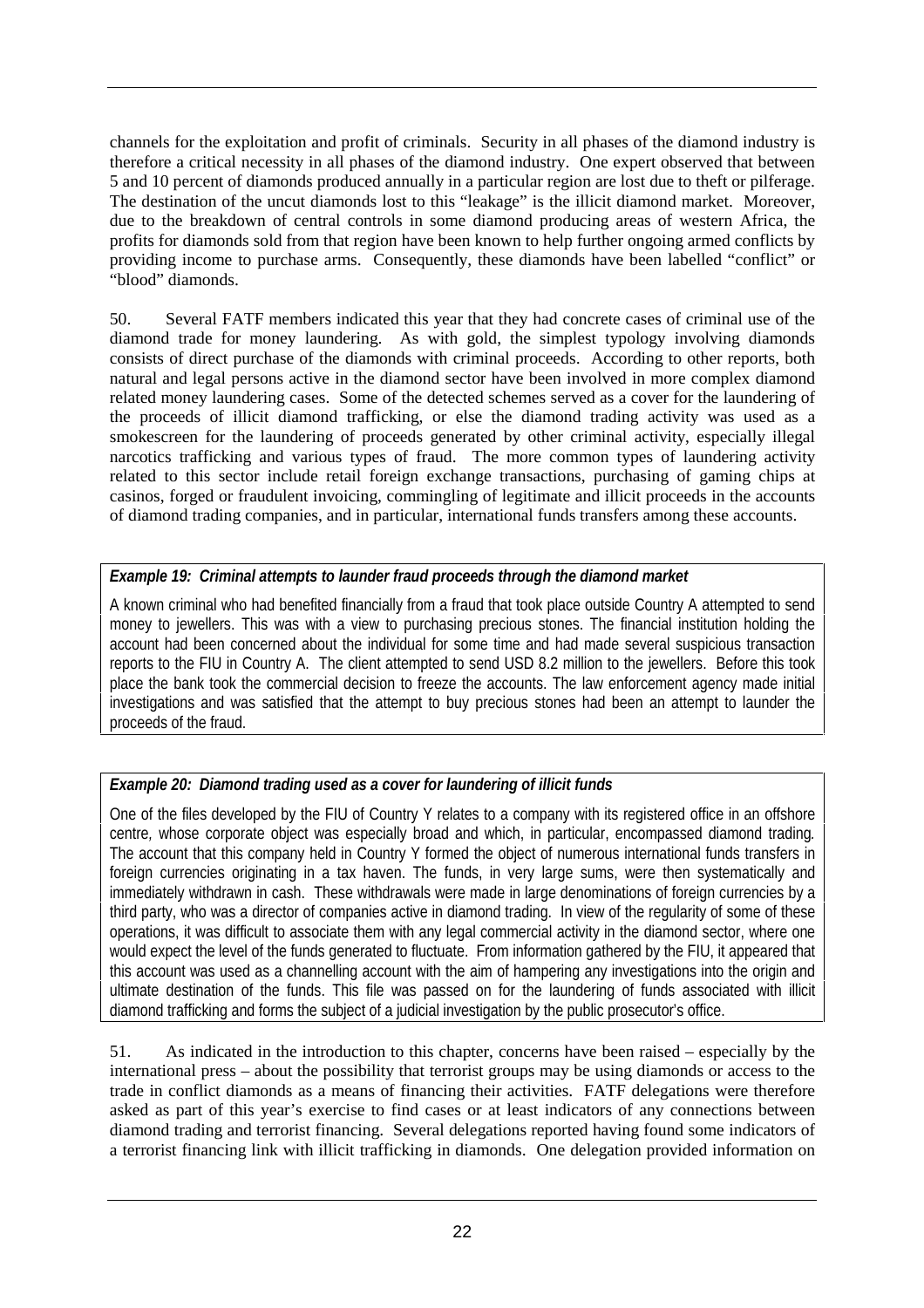channels for the exploitation and profit of criminals. Security in all phases of the diamond industry is therefore a critical necessity in all phases of the diamond industry. One expert observed that between 5 and 10 percent of diamonds produced annually in a particular region are lost due to theft or pilferage. The destination of the uncut diamonds lost to this "leakage" is the illicit diamond market. Moreover, due to the breakdown of central controls in some diamond producing areas of western Africa, the profits for diamonds sold from that region have been known to help further ongoing armed conflicts by providing income to purchase arms. Consequently, these diamonds have been labelled "conflict" or "blood" diamonds.

50. Several FATF members indicated this year that they had concrete cases of criminal use of the diamond trade for money laundering. As with gold, the simplest typology involving diamonds consists of direct purchase of the diamonds with criminal proceeds. According to other reports, both natural and legal persons active in the diamond sector have been involved in more complex diamond related money laundering cases. Some of the detected schemes served as a cover for the laundering of the proceeds of illicit diamond trafficking, or else the diamond trading activity was used as a smokescreen for the laundering of proceeds generated by other criminal activity, especially illegal narcotics trafficking and various types of fraud. The more common types of laundering activity related to this sector include retail foreign exchange transactions, purchasing of gaming chips at casinos, forged or fraudulent invoicing, commingling of legitimate and illicit proceeds in the accounts of diamond trading companies, and in particular, international funds transfers among these accounts.

# *Example 19: Criminal attempts to launder fraud proceeds through the diamond market*

A known criminal who had benefited financially from a fraud that took place outside Country A attempted to send money to jewellers. This was with a view to purchasing precious stones. The financial institution holding the account had been concerned about the individual for some time and had made several suspicious transaction reports to the FIU in Country A. The client attempted to send USD 8.2 million to the jewellers. Before this took place the bank took the commercial decision to freeze the accounts. The law enforcement agency made initial investigations and was satisfied that the attempt to buy precious stones had been an attempt to launder the proceeds of the fraud.

# *Example 20: Diamond trading used as a cover for laundering of illicit funds*

One of the files developed by the FIU of Country Y relates to a company with its registered office in an offshore centre*,* whose corporate object was especially broad and which, in particular, encompassed diamond trading*.*  The account that this company held in Country Y formed the object of numerous international funds transfers in foreign currencies originating in a tax haven. The funds, in very large sums, were then systematically and immediately withdrawn in cash. These withdrawals were made in large denominations of foreign currencies by a third party, who was a director of companies active in diamond trading. In view of the regularity of some of these operations, it was difficult to associate them with any legal commercial activity in the diamond sector, where one would expect the level of the funds generated to fluctuate. From information gathered by the FIU, it appeared that this account was used as a channelling account with the aim of hampering any investigations into the origin and ultimate destination of the funds. This file was passed on for the laundering of funds associated with illicit diamond trafficking and forms the subject of a judicial investigation by the public prosecutor's office.

51. As indicated in the introduction to this chapter, concerns have been raised – especially by the international press – about the possibility that terrorist groups may be using diamonds or access to the trade in conflict diamonds as a means of financing their activities. FATF delegations were therefore asked as part of this year's exercise to find cases or at least indicators of any connections between diamond trading and terrorist financing. Several delegations reported having found some indicators of a terrorist financing link with illicit trafficking in diamonds. One delegation provided information on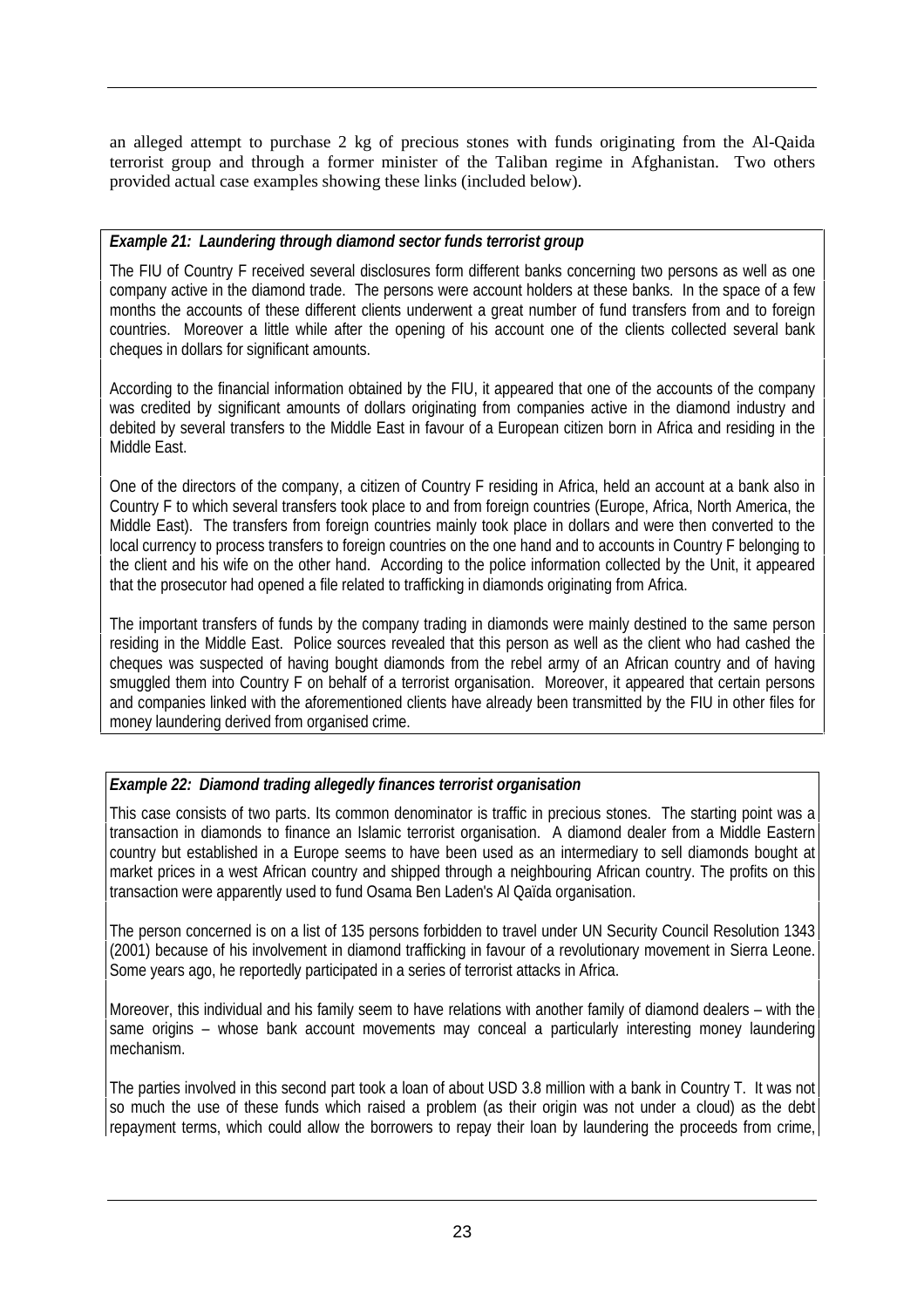an alleged attempt to purchase 2 kg of precious stones with funds originating from the Al-Qaida terrorist group and through a former minister of the Taliban regime in Afghanistan. Two others provided actual case examples showing these links (included below).

# *Example 21: Laundering through diamond sector funds terrorist group*

The FIU of Country F received several disclosures form different banks concerning two persons as well as one company active in the diamond trade. The persons were account holders at these banks. In the space of a few months the accounts of these different clients underwent a great number of fund transfers from and to foreign countries. Moreover a little while after the opening of his account one of the clients collected several bank cheques in dollars for significant amounts.

According to the financial information obtained by the FIU, it appeared that one of the accounts of the company was credited by significant amounts of dollars originating from companies active in the diamond industry and debited by several transfers to the Middle East in favour of a European citizen born in Africa and residing in the Middle East.

One of the directors of the company, a citizen of Country F residing in Africa, held an account at a bank also in Country F to which several transfers took place to and from foreign countries (Europe, Africa, North America, the Middle East). The transfers from foreign countries mainly took place in dollars and were then converted to the local currency to process transfers to foreign countries on the one hand and to accounts in Country F belonging to the client and his wife on the other hand. According to the police information collected by the Unit, it appeared that the prosecutor had opened a file related to trafficking in diamonds originating from Africa.

The important transfers of funds by the company trading in diamonds were mainly destined to the same person residing in the Middle East. Police sources revealed that this person as well as the client who had cashed the cheques was suspected of having bought diamonds from the rebel army of an African country and of having smuggled them into Country F on behalf of a terrorist organisation. Moreover, it appeared that certain persons and companies linked with the aforementioned clients have already been transmitted by the FIU in other files for money laundering derived from organised crime.

# *Example 22: Diamond trading allegedly finances terrorist organisation*

This case consists of two parts. Its common denominator is traffic in precious stones. The starting point was a transaction in diamonds to finance an Islamic terrorist organisation. A diamond dealer from a Middle Eastern country but established in a Europe seems to have been used as an intermediary to sell diamonds bought at market prices in a west African country and shipped through a neighbouring African country. The profits on this transaction were apparently used to fund Osama Ben Laden's Al Qaïda organisation.

The person concerned is on a list of 135 persons forbidden to travel under UN Security Council Resolution 1343 (2001) because of his involvement in diamond trafficking in favour of a revolutionary movement in Sierra Leone. Some years ago, he reportedly participated in a series of terrorist attacks in Africa.

Moreover, this individual and his family seem to have relations with another family of diamond dealers – with the same origins – whose bank account movements may conceal a particularly interesting money laundering mechanism.

The parties involved in this second part took a loan of about USD 3.8 million with a bank in Country T. It was not so much the use of these funds which raised a problem (as their origin was not under a cloud) as the debt repayment terms, which could allow the borrowers to repay their loan by laundering the proceeds from crime,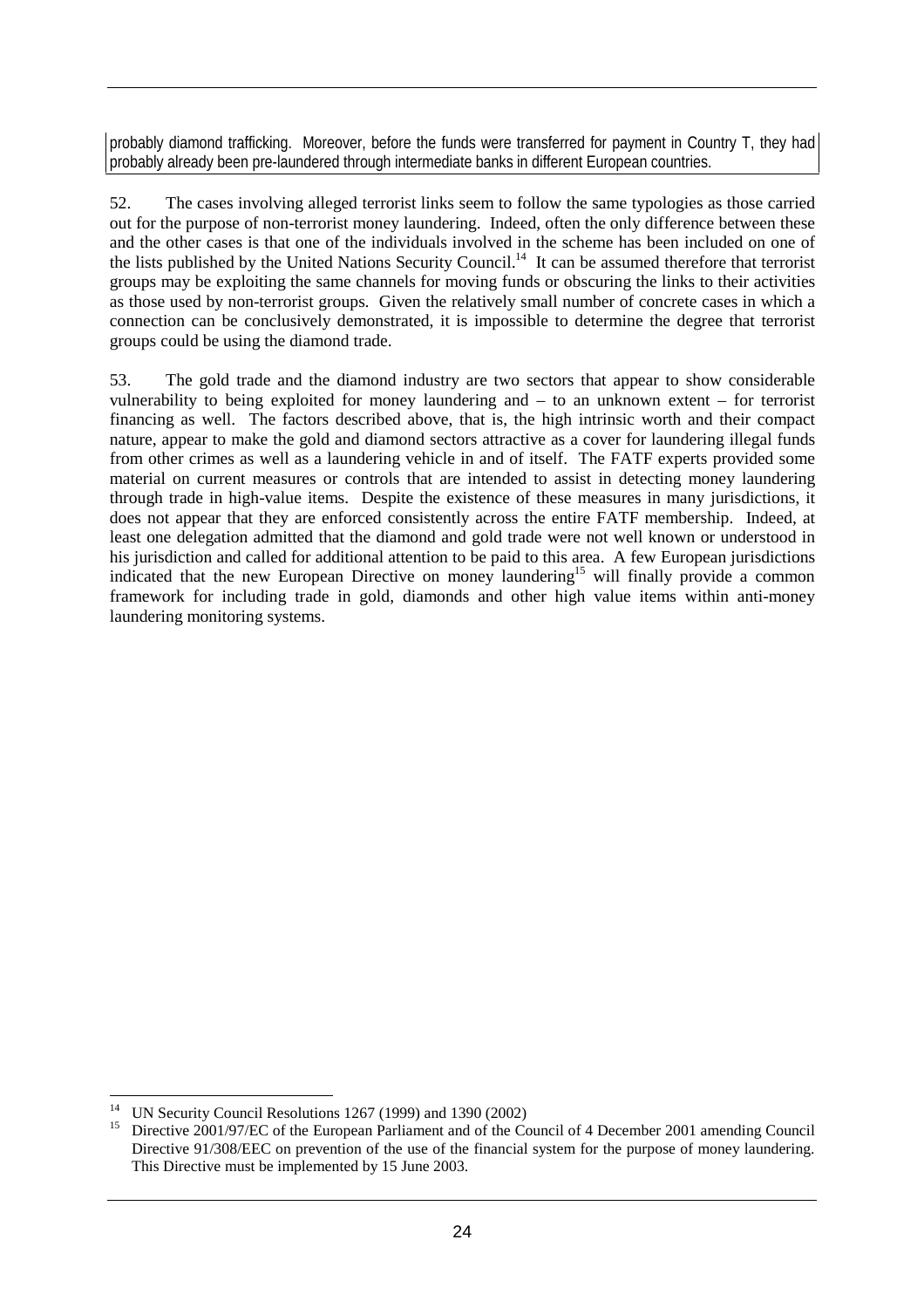probably diamond trafficking. Moreover, before the funds were transferred for payment in Country T, they had probably already been pre-laundered through intermediate banks in different European countries.

52. The cases involving alleged terrorist links seem to follow the same typologies as those carried out for the purpose of non-terrorist money laundering. Indeed, often the only difference between these and the other cases is that one of the individuals involved in the scheme has been included on one of the lists published by the United Nations Security Council.<sup>14</sup> It can be assumed therefore that terrorist groups may be exploiting the same channels for moving funds or obscuring the links to their activities as those used by non-terrorist groups. Given the relatively small number of concrete cases in which a connection can be conclusively demonstrated, it is impossible to determine the degree that terrorist groups could be using the diamond trade.

53. The gold trade and the diamond industry are two sectors that appear to show considerable vulnerability to being exploited for money laundering and – to an unknown extent – for terrorist financing as well. The factors described above, that is, the high intrinsic worth and their compact nature, appear to make the gold and diamond sectors attractive as a cover for laundering illegal funds from other crimes as well as a laundering vehicle in and of itself. The FATF experts provided some material on current measures or controls that are intended to assist in detecting money laundering through trade in high-value items. Despite the existence of these measures in many jurisdictions, it does not appear that they are enforced consistently across the entire FATF membership. Indeed, at least one delegation admitted that the diamond and gold trade were not well known or understood in his jurisdiction and called for additional attention to be paid to this area. A few European jurisdictions indicated that the new European Directive on money laundering<sup>15</sup> will finally provide a common framework for including trade in gold, diamonds and other high value items within anti-money laundering monitoring systems.

 $\overline{a}$ 14 UN Security Council Resolutions 1267 (1999) and 1390 (2002)

Directive 2001/97/EC of the European Parliament and of the Council of 4 December 2001 amending Council Directive 91/308/EEC on prevention of the use of the financial system for the purpose of money laundering. This Directive must be implemented by 15 June 2003.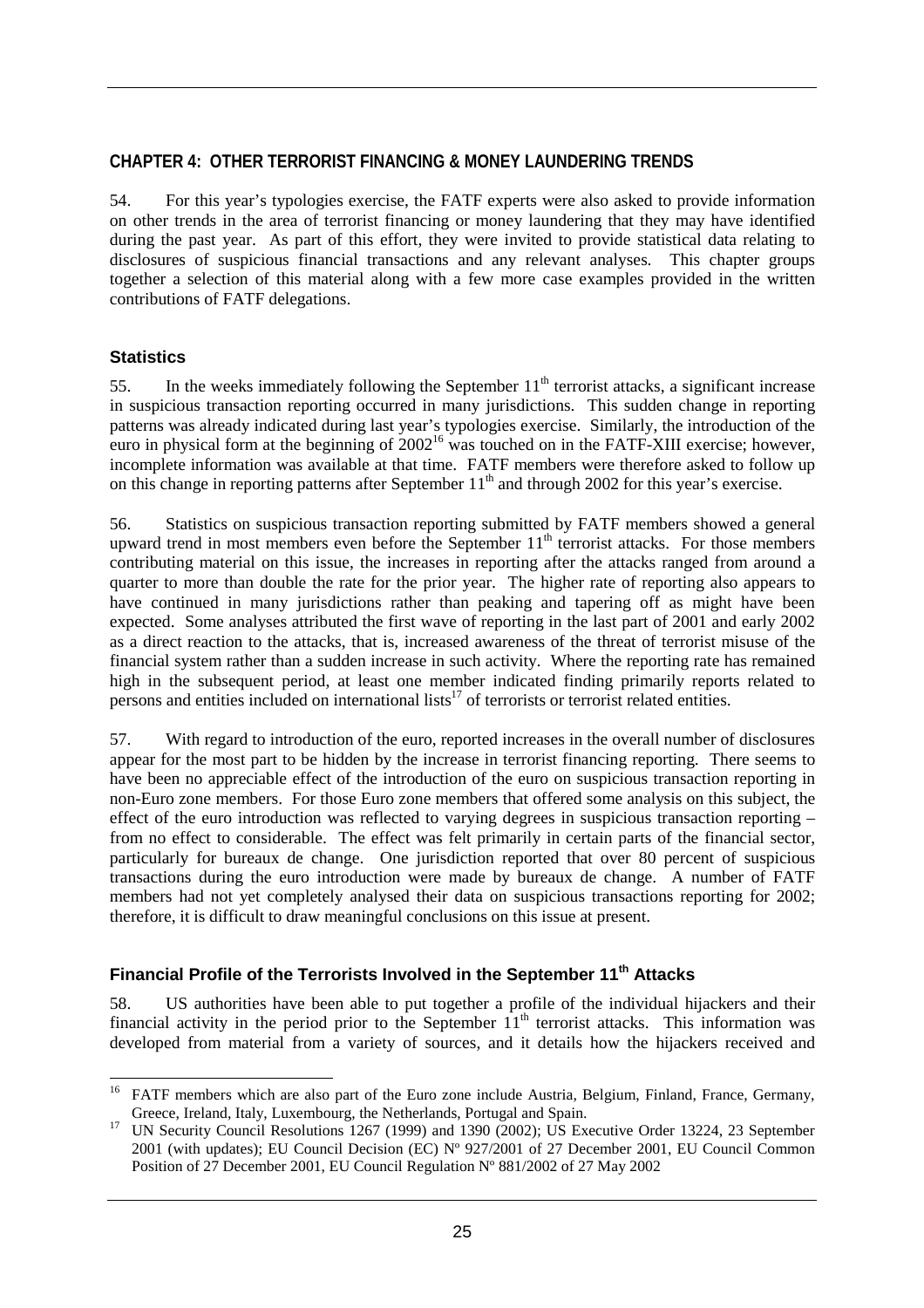#### **CHAPTER 4: OTHER TERRORIST FINANCING & MONEY LAUNDERING TRENDS**

54. For this year's typologies exercise, the FATF experts were also asked to provide information on other trends in the area of terrorist financing or money laundering that they may have identified during the past year. As part of this effort, they were invited to provide statistical data relating to disclosures of suspicious financial transactions and any relevant analyses. This chapter groups together a selection of this material along with a few more case examples provided in the written contributions of FATF delegations.

#### **Statistics**

55. In the weeks immediately following the September  $11<sup>th</sup>$  terrorist attacks, a significant increase in suspicious transaction reporting occurred in many jurisdictions. This sudden change in reporting patterns was already indicated during last year's typologies exercise. Similarly, the introduction of the euro in physical form at the beginning of 2002<sup>16</sup> was touched on in the FATF-XIII exercise; however, incomplete information was available at that time. FATF members were therefore asked to follow up on this change in reporting patterns after September  $11<sup>th</sup>$  and through 2002 for this year's exercise.

56. Statistics on suspicious transaction reporting submitted by FATF members showed a general upward trend in most members even before the September  $11<sup>th</sup>$  terrorist attacks. For those members contributing material on this issue, the increases in reporting after the attacks ranged from around a quarter to more than double the rate for the prior year. The higher rate of reporting also appears to have continued in many jurisdictions rather than peaking and tapering off as might have been expected. Some analyses attributed the first wave of reporting in the last part of 2001 and early 2002 as a direct reaction to the attacks, that is, increased awareness of the threat of terrorist misuse of the financial system rather than a sudden increase in such activity. Where the reporting rate has remained high in the subsequent period, at least one member indicated finding primarily reports related to persons and entities included on international lists<sup>17</sup> of terrorists or terrorist related entities.

57. With regard to introduction of the euro, reported increases in the overall number of disclosures appear for the most part to be hidden by the increase in terrorist financing reporting. There seems to have been no appreciable effect of the introduction of the euro on suspicious transaction reporting in non-Euro zone members. For those Euro zone members that offered some analysis on this subject, the effect of the euro introduction was reflected to varying degrees in suspicious transaction reporting – from no effect to considerable. The effect was felt primarily in certain parts of the financial sector, particularly for bureaux de change. One jurisdiction reported that over 80 percent of suspicious transactions during the euro introduction were made by bureaux de change. A number of FATF members had not yet completely analysed their data on suspicious transactions reporting for 2002; therefore, it is difficult to draw meaningful conclusions on this issue at present.

# **Financial Profile of the Terrorists Involved in the September 11th Attacks**

58. US authorities have been able to put together a profile of the individual hijackers and their financial activity in the period prior to the September  $11<sup>th</sup>$  terrorist attacks. This information was developed from material from a variety of sources, and it details how the hijackers received and

 $\overline{a}$ <sup>16</sup> FATF members which are also part of the Euro zone include Austria, Belgium, Finland, France, Germany, Greece, Ireland, Italy, Luxembourg, the Netherlands, Portugal and Spain.<br><sup>17</sup> UN Security Council Resolutions 1267 (1999) and 1390 (2002); US Executive Order 13224, 23 September

<sup>2001 (</sup>with updates); EU Council Decision (EC) Nº 927/2001 of 27 December 2001, EU Council Common Position of 27 December 2001, EU Council Regulation Nº 881/2002 of 27 May 2002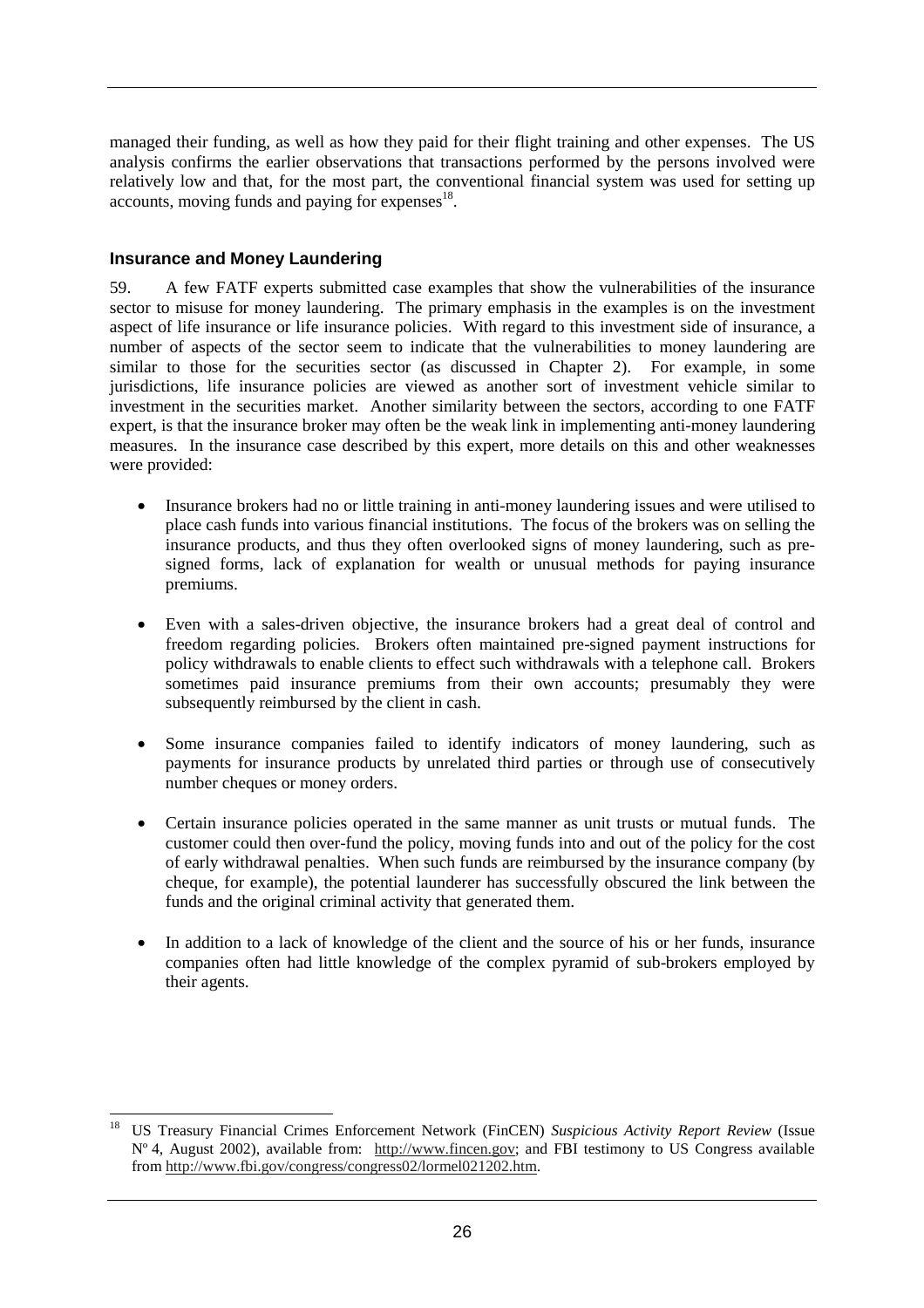managed their funding, as well as how they paid for their flight training and other expenses. The US analysis confirms the earlier observations that transactions performed by the persons involved were relatively low and that, for the most part, the conventional financial system was used for setting up accounts, moving funds and paying for expenses $18$ .

#### **Insurance and Money Laundering**

59. A few FATF experts submitted case examples that show the vulnerabilities of the insurance sector to misuse for money laundering. The primary emphasis in the examples is on the investment aspect of life insurance or life insurance policies. With regard to this investment side of insurance, a number of aspects of the sector seem to indicate that the vulnerabilities to money laundering are similar to those for the securities sector (as discussed in Chapter 2). For example, in some jurisdictions, life insurance policies are viewed as another sort of investment vehicle similar to investment in the securities market. Another similarity between the sectors, according to one FATF expert, is that the insurance broker may often be the weak link in implementing anti-money laundering measures. In the insurance case described by this expert, more details on this and other weaknesses were provided:

- Insurance brokers had no or little training in anti-money laundering issues and were utilised to place cash funds into various financial institutions. The focus of the brokers was on selling the insurance products, and thus they often overlooked signs of money laundering, such as presigned forms, lack of explanation for wealth or unusual methods for paying insurance premiums.
- Even with a sales-driven objective, the insurance brokers had a great deal of control and freedom regarding policies. Brokers often maintained pre-signed payment instructions for policy withdrawals to enable clients to effect such withdrawals with a telephone call. Brokers sometimes paid insurance premiums from their own accounts; presumably they were subsequently reimbursed by the client in cash.
- Some insurance companies failed to identify indicators of money laundering, such as payments for insurance products by unrelated third parties or through use of consecutively number cheques or money orders.
- Certain insurance policies operated in the same manner as unit trusts or mutual funds. The customer could then over-fund the policy, moving funds into and out of the policy for the cost of early withdrawal penalties. When such funds are reimbursed by the insurance company (by cheque, for example), the potential launderer has successfully obscured the link between the funds and the original criminal activity that generated them.
- In addition to a lack of knowledge of the client and the source of his or her funds, insurance companies often had little knowledge of the complex pyramid of sub-brokers employed by their agents.

 $\overline{a}$ 18 US Treasury Financial Crimes Enforcement Network (FinCEN) *Suspicious Activity Report Review* (Issue Nº 4, August 2002), available from: http://www.fincen.gov; and FBI testimony to US Congress available from http://www.fbi.gov/congress/congress02/lormel021202.htm.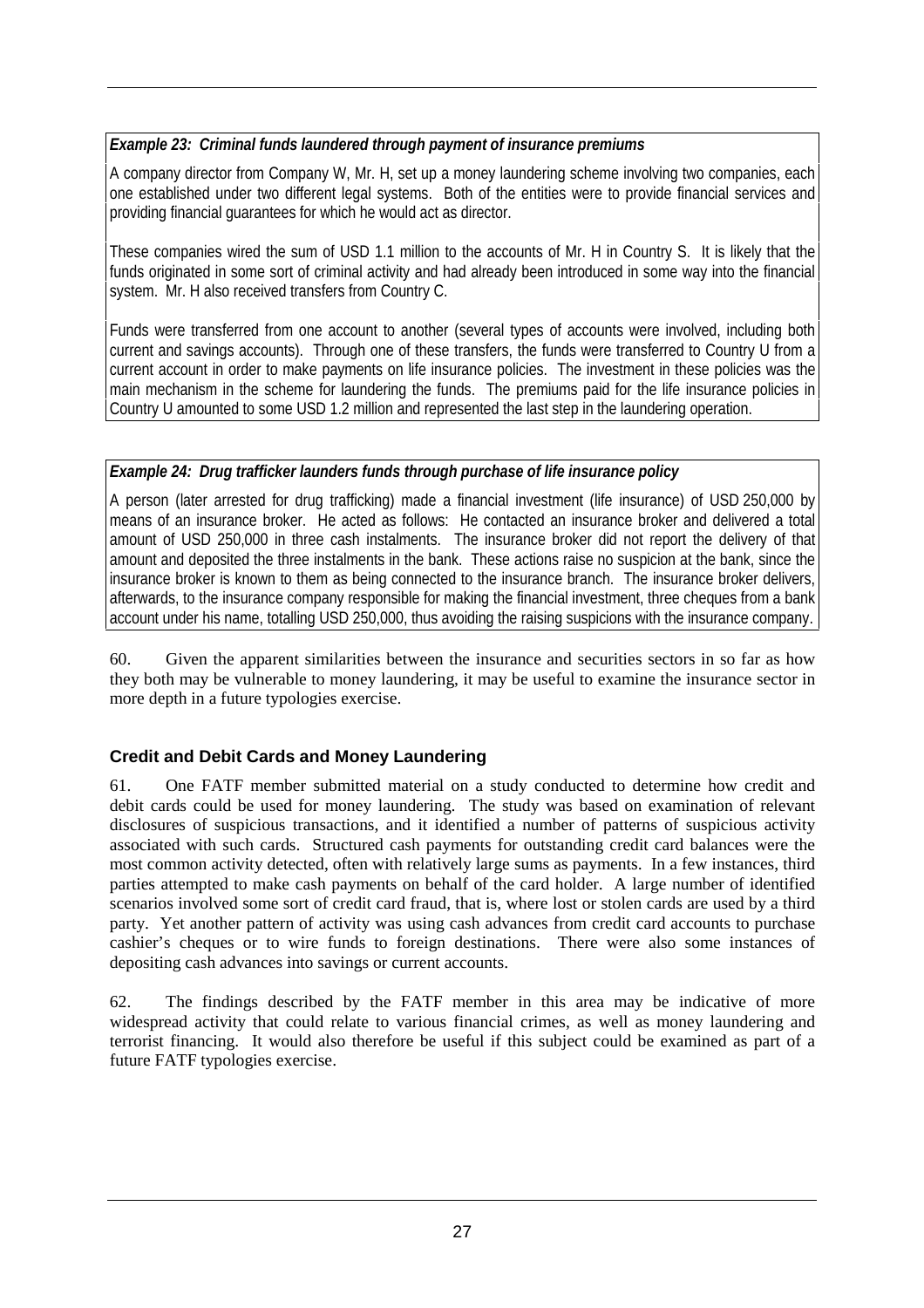## *Example 23: Criminal funds laundered through payment of insurance premiums*

A company director from Company W, Mr. H, set up a money laundering scheme involving two companies, each one established under two different legal systems. Both of the entities were to provide financial services and providing financial guarantees for which he would act as director.

These companies wired the sum of USD 1.1 million to the accounts of Mr. H in Country S. It is likely that the funds originated in some sort of criminal activity and had already been introduced in some way into the financial system. Mr. H also received transfers from Country C.

Funds were transferred from one account to another (several types of accounts were involved, including both current and savings accounts). Through one of these transfers, the funds were transferred to Country U from a current account in order to make payments on life insurance policies. The investment in these policies was the main mechanism in the scheme for laundering the funds. The premiums paid for the life insurance policies in Country U amounted to some USD 1.2 million and represented the last step in the laundering operation.

#### *Example 24: Drug trafficker launders funds through purchase of life insurance policy*

A person (later arrested for drug trafficking) made a financial investment (life insurance) of USD 250,000 by means of an insurance broker. He acted as follows: He contacted an insurance broker and delivered a total amount of USD 250,000 in three cash instalments. The insurance broker did not report the delivery of that amount and deposited the three instalments in the bank. These actions raise no suspicion at the bank, since the insurance broker is known to them as being connected to the insurance branch. The insurance broker delivers, afterwards, to the insurance company responsible for making the financial investment, three cheques from a bank account under his name, totalling USD 250,000, thus avoiding the raising suspicions with the insurance company.

60. Given the apparent similarities between the insurance and securities sectors in so far as how they both may be vulnerable to money laundering, it may be useful to examine the insurance sector in more depth in a future typologies exercise.

# **Credit and Debit Cards and Money Laundering**

61. One FATF member submitted material on a study conducted to determine how credit and debit cards could be used for money laundering. The study was based on examination of relevant disclosures of suspicious transactions, and it identified a number of patterns of suspicious activity associated with such cards. Structured cash payments for outstanding credit card balances were the most common activity detected, often with relatively large sums as payments. In a few instances, third parties attempted to make cash payments on behalf of the card holder. A large number of identified scenarios involved some sort of credit card fraud, that is, where lost or stolen cards are used by a third party. Yet another pattern of activity was using cash advances from credit card accounts to purchase cashier's cheques or to wire funds to foreign destinations. There were also some instances of depositing cash advances into savings or current accounts.

62. The findings described by the FATF member in this area may be indicative of more widespread activity that could relate to various financial crimes, as well as money laundering and terrorist financing. It would also therefore be useful if this subject could be examined as part of a future FATF typologies exercise.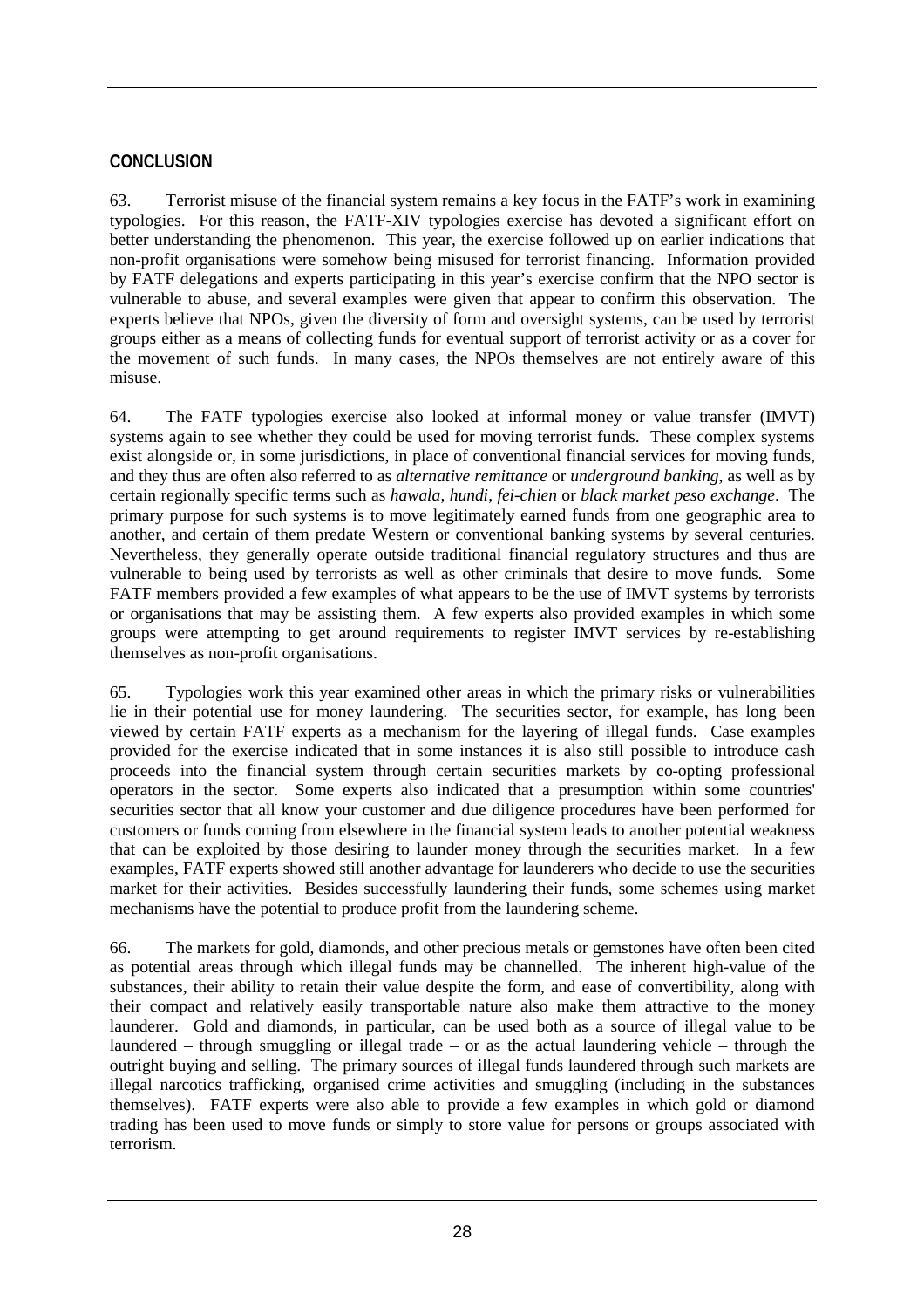# **CONCLUSION**

63. Terrorist misuse of the financial system remains a key focus in the FATF's work in examining typologies. For this reason, the FATF-XIV typologies exercise has devoted a significant effort on better understanding the phenomenon. This year, the exercise followed up on earlier indications that non-profit organisations were somehow being misused for terrorist financing. Information provided by FATF delegations and experts participating in this year's exercise confirm that the NPO sector is vulnerable to abuse, and several examples were given that appear to confirm this observation. The experts believe that NPOs, given the diversity of form and oversight systems, can be used by terrorist groups either as a means of collecting funds for eventual support of terrorist activity or as a cover for the movement of such funds. In many cases, the NPOs themselves are not entirely aware of this misuse.

64. The FATF typologies exercise also looked at informal money or value transfer (IMVT) systems again to see whether they could be used for moving terrorist funds. These complex systems exist alongside or, in some jurisdictions, in place of conventional financial services for moving funds, and they thus are often also referred to as *alternative remittance* or *underground banking*, as well as by certain regionally specific terms such as *hawala*, *hundi*, *fei-chien* or *black market peso exchange*. The primary purpose for such systems is to move legitimately earned funds from one geographic area to another, and certain of them predate Western or conventional banking systems by several centuries. Nevertheless, they generally operate outside traditional financial regulatory structures and thus are vulnerable to being used by terrorists as well as other criminals that desire to move funds. Some FATF members provided a few examples of what appears to be the use of IMVT systems by terrorists or organisations that may be assisting them. A few experts also provided examples in which some groups were attempting to get around requirements to register IMVT services by re-establishing themselves as non-profit organisations.

65. Typologies work this year examined other areas in which the primary risks or vulnerabilities lie in their potential use for money laundering. The securities sector, for example, has long been viewed by certain FATF experts as a mechanism for the layering of illegal funds. Case examples provided for the exercise indicated that in some instances it is also still possible to introduce cash proceeds into the financial system through certain securities markets by co-opting professional operators in the sector. Some experts also indicated that a presumption within some countries' securities sector that all know your customer and due diligence procedures have been performed for customers or funds coming from elsewhere in the financial system leads to another potential weakness that can be exploited by those desiring to launder money through the securities market. In a few examples, FATF experts showed still another advantage for launderers who decide to use the securities market for their activities. Besides successfully laundering their funds, some schemes using market mechanisms have the potential to produce profit from the laundering scheme.

66. The markets for gold, diamonds, and other precious metals or gemstones have often been cited as potential areas through which illegal funds may be channelled. The inherent high-value of the substances, their ability to retain their value despite the form, and ease of convertibility, along with their compact and relatively easily transportable nature also make them attractive to the money launderer. Gold and diamonds, in particular, can be used both as a source of illegal value to be laundered – through smuggling or illegal trade – or as the actual laundering vehicle – through the outright buying and selling. The primary sources of illegal funds laundered through such markets are illegal narcotics trafficking, organised crime activities and smuggling (including in the substances themselves). FATF experts were also able to provide a few examples in which gold or diamond trading has been used to move funds or simply to store value for persons or groups associated with terrorism.